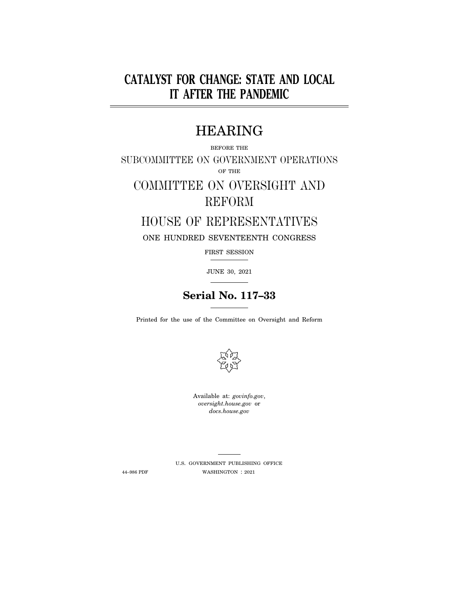# **CATALYST FOR CHANGE: STATE AND LOCAL IT AFTER THE PANDEMIC**

# HEARING

# BEFORE THE SUBCOMMITTEE ON GOVERNMENT OPERATIONS OF THE

# COMMITTEE ON OVERSIGHT AND REFORM

# HOUSE OF REPRESENTATIVES

ONE HUNDRED SEVENTEENTH CONGRESS

FIRST SESSION

JUNE 30, 2021

# **Serial No. 117–33**

Printed for the use of the Committee on Oversight and Reform



Available at: *govinfo.gov*, *oversight.house.gov* or *docs.house.gov* 

U.S. GOVERNMENT PUBLISHING OFFICE 44–986 PDF WASHINGTON : 2021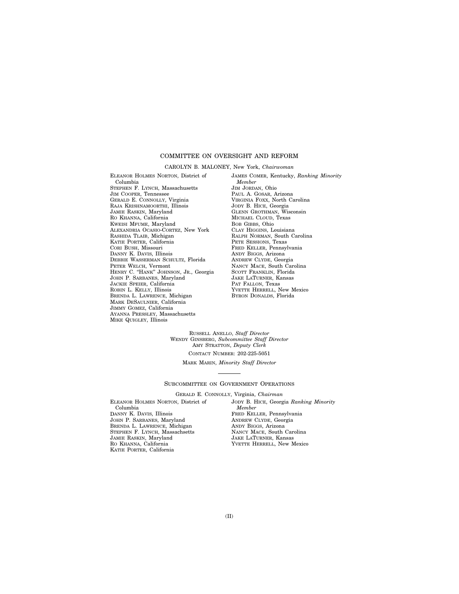## COMMITTEE ON OVERSIGHT AND REFORM

#### CAROLYN B. MALONEY, New York, *Chairwoman*

ELEANOR HOLMES NORTON, District of Columbia STEPHEN F. LYNCH, Massachusetts JIM COOPER, Tennessee GERALD E. CONNOLLY, Virginia RAJA KRISHNAMOORTHI, Illinois JAMIE RASKIN, Maryland RO KHANNA, California KWEISI MFUME, Maryland ALEXANDRIA OCASIO-CORTEZ, New York RASHIDA TLAIB, Michigan KATIE PORTER, California CORI BUSH, Missouri DANNY K. DAVIS, Illinois DEBBIE WASSERMAN SCHULTZ, Florida PETER WELCH, Vermont HENRY C. "HANK" JOHNSON, JR., Georgia JOHN P. SARBANES, Maryland JACKIE SPEIER, California ROBIN L. KELLY, Illinois BRENDA L. LAWRENCE, Michigan MARK DESAULNIER, California JIMMY GOMEZ, California AYANNA PRESSLEY, Massachusetts MIKE QUIGLEY, Illinois

JAMES COMER, Kentucky, *Ranking Minority Member*  JIM JORDAN, Ohio PAUL A. GOSAR, Arizona VIRGINIA FOXX, North Carolina JODY B. HICE, Georgia GLENN GROTHMAN, Wisconsin MICHAEL CLOUD, Texas BOB GIBBS, Ohio CLAY HIGGINS, Louisiana RALPH NORMAN, South Carolina PETE SESSIONS, Texas FRED KELLER, Pennsylvania ANDY BIGGS, Arizona ANDREW CLYDE, Georgia NANCY MACE, South Carolina SCOTT FRANKLIN, Florida JAKE LATURNER, Kansas PAT FALLON, Texas YVETTE HERRELL, New Mexico BYRON DONALDS, Florida

RUSSELL ANELLO, *Staff Director*  WENDY GINSBERG, *Subcommittee Staff Director*  AMY STRATTON, *Deputy Clerk*  CONTACT NUMBER: 202-225-5051

MARK MARIN, *Minority Staff Director* 

#### SUBCOMMITTEE ON GOVERNMENT OPERATIONS

GERALD E. CONNOLLY, Virginia, *Chairman* 

ELEANOR HOLMES NORTON, District of Columbia DANNY K. DAVIS, Illinois JOHN P. SARBANES, Maryland BRENDA L. LAWRENCE, Michigan STEPHEN F. LYNCH, Massachsetts JAMIE RASKIN, Maryland RO KHANNA, California KATIE PORTER, California

JODY B. HICE, Georgia *Ranking Minority Member*  FRED KELLER, Pennsylvania ANDREW CLYDE, Georgia ANDY BIGGS, Arizona NANCY MACE, South Carolina JAKE LATURNER, Kansas YVETTE HERRELL, New Mexico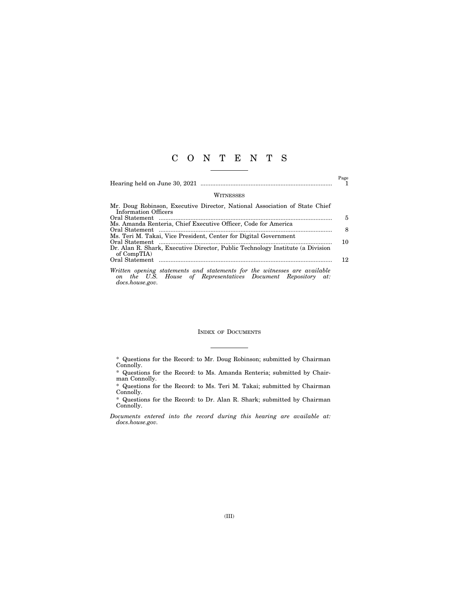## C O N T E N T S

Page

#### **WITNESSES**

| Mr. Doug Robinson, Executive Director, National Association of State Chief     |     |
|--------------------------------------------------------------------------------|-----|
| Information Officers                                                           |     |
|                                                                                | 5   |
| Ms. Amanda Renteria, Chief Executive Officer, Code for America                 |     |
|                                                                                |     |
| Ms. Teri M. Takai, Vice President, Center for Digital Government               |     |
|                                                                                | 10  |
| Dr. Alan R. Shark, Executive Director, Public Technology Institute (a Division |     |
| of CompTIA)                                                                    |     |
|                                                                                | 12. |
|                                                                                |     |
| Written opening statements and statements for the witnesses are available      |     |

*on the U.S. House of Representatives Document Repository at: docs.house.gov.* 

## INDEX OF DOCUMENTS

<sup>\*</sup> Questions for the Record: to Mr. Doug Robinson; submitted by Chairman Connolly.

<sup>\*</sup> Questions for the Record: to Ms. Amanda Renteria; submitted by Chairman Connolly.

<sup>\*</sup> Questions for the Record: to Ms. Teri M. Takai; submitted by Chairman Connolly.

<sup>\*</sup> Questions for the Record: to Dr. Alan R. Shark; submitted by Chairman Connolly.

*Documents entered into the record during this hearing are available at: docs.house.gov.*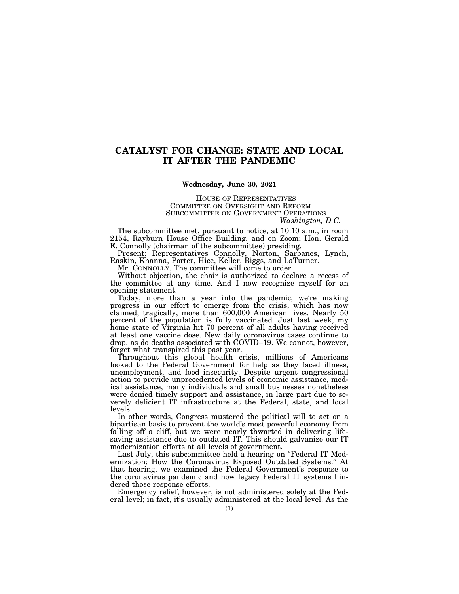## **CATALYST FOR CHANGE: STATE AND LOCAL IT AFTER THE PANDEMIC**

### **Wednesday, June 30, 2021**

HOUSE OF REPRESENTATIVES COMMITTEE ON OVERSIGHT AND REFORM SUBCOMMITTEE ON GOVERNMENT OPERATIONS *Washington, D.C.* 

The subcommittee met, pursuant to notice, at 10:10 a.m., in room 2154, Rayburn House Office Building, and on Zoom; Hon. Gerald E. Connolly (chairman of the subcommittee) presiding.

Present: Representatives Connolly, Norton, Sarbanes, Lynch, Raskin, Khanna, Porter, Hice, Keller, Biggs, and LaTurner.

Mr. CONNOLLY. The committee will come to order.

Without objection, the chair is authorized to declare a recess of the committee at any time. And I now recognize myself for an opening statement.

Today, more than a year into the pandemic, we're making progress in our effort to emerge from the crisis, which has now claimed, tragically, more than 600,000 American lives. Nearly 50 percent of the population is fully vaccinated. Just last week, my home state of Virginia hit 70 percent of all adults having received at least one vaccine dose. New daily coronavirus cases continue to drop, as do deaths associated with COVID–19. We cannot, however, forget what transpired this past year.

Throughout this global health crisis, millions of Americans looked to the Federal Government for help as they faced illness, unemployment, and food insecurity. Despite urgent congressional action to provide unprecedented levels of economic assistance, medical assistance, many individuals and small businesses nonetheless were denied timely support and assistance, in large part due to severely deficient IT infrastructure at the Federal, state, and local levels.

In other words, Congress mustered the political will to act on a bipartisan basis to prevent the world's most powerful economy from falling off a cliff, but we were nearly thwarted in delivering lifesaving assistance due to outdated IT. This should galvanize our IT modernization efforts at all levels of government.

Last July, this subcommittee held a hearing on "Federal IT Modernization: How the Coronavirus Exposed Outdated Systems.'' At that hearing, we examined the Federal Government's response to the coronavirus pandemic and how legacy Federal IT systems hindered those response efforts.

Emergency relief, however, is not administered solely at the Federal level; in fact, it's usually administered at the local level. As the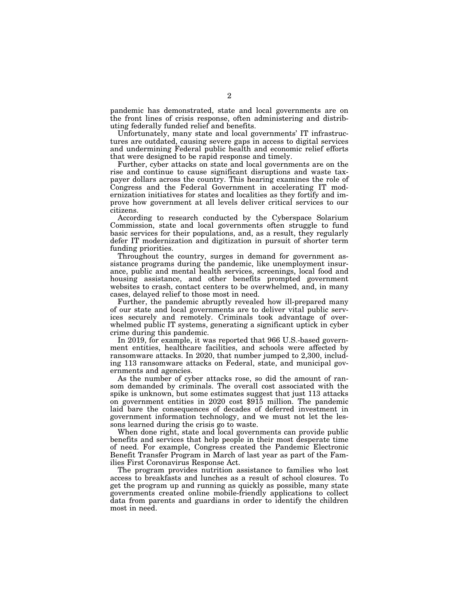pandemic has demonstrated, state and local governments are on the front lines of crisis response, often administering and distributing federally funded relief and benefits.

Unfortunately, many state and local governments' IT infrastructures are outdated, causing severe gaps in access to digital services and undermining Federal public health and economic relief efforts that were designed to be rapid response and timely.

Further, cyber attacks on state and local governments are on the rise and continue to cause significant disruptions and waste taxpayer dollars across the country. This hearing examines the role of Congress and the Federal Government in accelerating IT modernization initiatives for states and localities as they fortify and improve how government at all levels deliver critical services to our citizens.

According to research conducted by the Cyberspace Solarium Commission, state and local governments often struggle to fund basic services for their populations, and, as a result, they regularly defer IT modernization and digitization in pursuit of shorter term funding priorities.

Throughout the country, surges in demand for government assistance programs during the pandemic, like unemployment insurance, public and mental health services, screenings, local food and housing assistance, and other benefits prompted government websites to crash, contact centers to be overwhelmed, and, in many cases, delayed relief to those most in need.

Further, the pandemic abruptly revealed how ill-prepared many of our state and local governments are to deliver vital public services securely and remotely. Criminals took advantage of overwhelmed public IT systems, generating a significant uptick in cyber crime during this pandemic.

In 2019, for example, it was reported that 966 U.S.-based government entities, healthcare facilities, and schools were affected by ransomware attacks. In 2020, that number jumped to 2,300, including 113 ransomware attacks on Federal, state, and municipal governments and agencies.

As the number of cyber attacks rose, so did the amount of ransom demanded by criminals. The overall cost associated with the spike is unknown, but some estimates suggest that just 113 attacks on government entities in 2020 cost \$915 million. The pandemic laid bare the consequences of decades of deferred investment in government information technology, and we must not let the lessons learned during the crisis go to waste.

When done right, state and local governments can provide public benefits and services that help people in their most desperate time of need. For example, Congress created the Pandemic Electronic Benefit Transfer Program in March of last year as part of the Families First Coronavirus Response Act.

The program provides nutrition assistance to families who lost access to breakfasts and lunches as a result of school closures. To get the program up and running as quickly as possible, many state governments created online mobile-friendly applications to collect data from parents and guardians in order to identify the children most in need.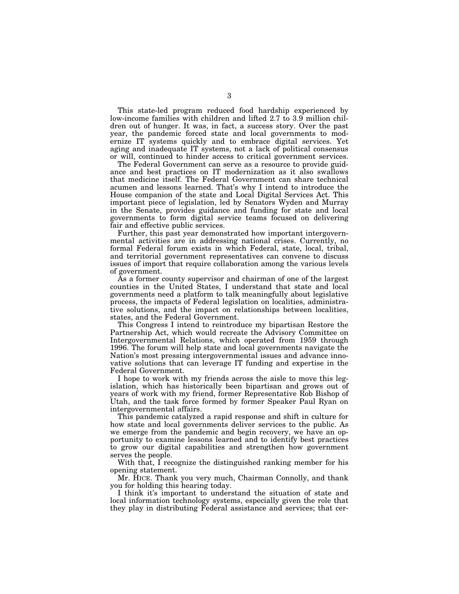This state-led program reduced food hardship experienced by low-income families with children and lifted 2.7 to 3.9 million children out of hunger. It was, in fact, a success story. Over the past year, the pandemic forced state and local governments to modernize IT systems quickly and to embrace digital services. Yet aging and inadequate IT systems, not a lack of political consensus or will, continued to hinder access to critical government services.

The Federal Government can serve as a resource to provide guidance and best practices on IT modernization as it also swallows that medicine itself. The Federal Government can share technical acumen and lessons learned. That's why I intend to introduce the House companion of the state and Local Digital Services Act. This important piece of legislation, led by Senators Wyden and Murray in the Senate, provides guidance and funding for state and local governments to form digital service teams focused on delivering fair and effective public services.

Further, this past year demonstrated how important intergovernmental activities are in addressing national crises. Currently, no formal Federal forum exists in which Federal, state, local, tribal, and territorial government representatives can convene to discuss issues of import that require collaboration among the various levels of government.

As a former county supervisor and chairman of one of the largest counties in the United States, I understand that state and local governments need a platform to talk meaningfully about legislative process, the impacts of Federal legislation on localities, administrative solutions, and the impact on relationships between localities, states, and the Federal Government.

This Congress I intend to reintroduce my bipartisan Restore the Partnership Act, which would recreate the Advisory Committee on Intergovernmental Relations, which operated from 1959 through 1996. The forum will help state and local governments navigate the Nation's most pressing intergovernmental issues and advance innovative solutions that can leverage IT funding and expertise in the Federal Government.

I hope to work with my friends across the aisle to move this legislation, which has historically been bipartisan and grows out of years of work with my friend, former Representative Rob Bishop of Utah, and the task force formed by former Speaker Paul Ryan on intergovernmental affairs.

This pandemic catalyzed a rapid response and shift in culture for how state and local governments deliver services to the public. As we emerge from the pandemic and begin recovery, we have an opportunity to examine lessons learned and to identify best practices to grow our digital capabilities and strengthen how government serves the people.

With that, I recognize the distinguished ranking member for his opening statement.

Mr. HICE. Thank you very much, Chairman Connolly, and thank you for holding this hearing today.

I think it's important to understand the situation of state and local information technology systems, especially given the role that they play in distributing Federal assistance and services; that cer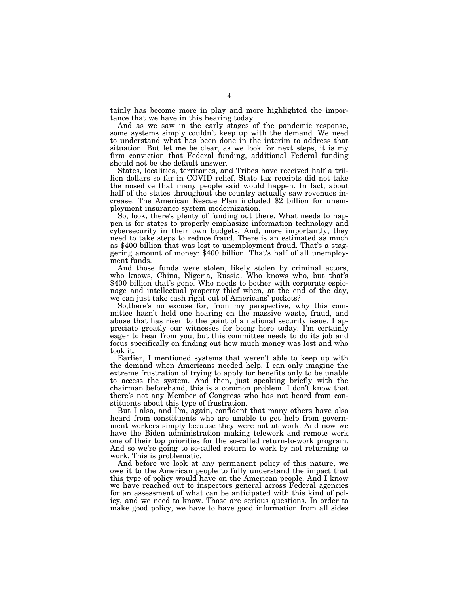tainly has become more in play and more highlighted the importance that we have in this hearing today.

And as we saw in the early stages of the pandemic response, some systems simply couldn't keep up with the demand. We need to understand what has been done in the interim to address that situation. But let me be clear, as we look for next steps, it is my firm conviction that Federal funding, additional Federal funding should not be the default answer.

States, localities, territories, and Tribes have received half a trillion dollars so far in COVID relief. State tax receipts did not take the nosedive that many people said would happen. In fact, about half of the states throughout the country actually saw revenues increase. The American Rescue Plan included \$2 billion for unemployment insurance system modernization.

So, look, there's plenty of funding out there. What needs to happen is for states to properly emphasize information technology and cybersecurity in their own budgets. And, more importantly, they need to take steps to reduce fraud. There is an estimated as much as \$400 billion that was lost to unemployment fraud. That's a staggering amount of money: \$400 billion. That's half of all unemployment funds.

And those funds were stolen, likely stolen by criminal actors, who knows, China, Nigeria, Russia. Who knows who, but that's \$400 billion that's gone. Who needs to bother with corporate espionage and intellectual property thief when, at the end of the day, we can just take cash right out of Americans' pockets?

So,there's no excuse for, from my perspective, why this committee hasn't held one hearing on the massive waste, fraud, and abuse that has risen to the point of a national security issue. I appreciate greatly our witnesses for being here today. I'm certainly eager to hear from you, but this committee needs to do its job and focus specifically on finding out how much money was lost and who took it.

Earlier, I mentioned systems that weren't able to keep up with the demand when Americans needed help. I can only imagine the extreme frustration of trying to apply for benefits only to be unable to access the system. And then, just speaking briefly with the chairman beforehand, this is a common problem. I don't know that there's not any Member of Congress who has not heard from constituents about this type of frustration.

But I also, and I'm, again, confident that many others have also heard from constituents who are unable to get help from government workers simply because they were not at work. And now we have the Biden administration making telework and remote work one of their top priorities for the so-called return-to-work program. And so we're going to so-called return to work by not returning to work. This is problematic.

And before we look at any permanent policy of this nature, we owe it to the American people to fully understand the impact that this type of policy would have on the American people. And I know we have reached out to inspectors general across Federal agencies for an assessment of what can be anticipated with this kind of policy, and we need to know. Those are serious questions. In order to make good policy, we have to have good information from all sides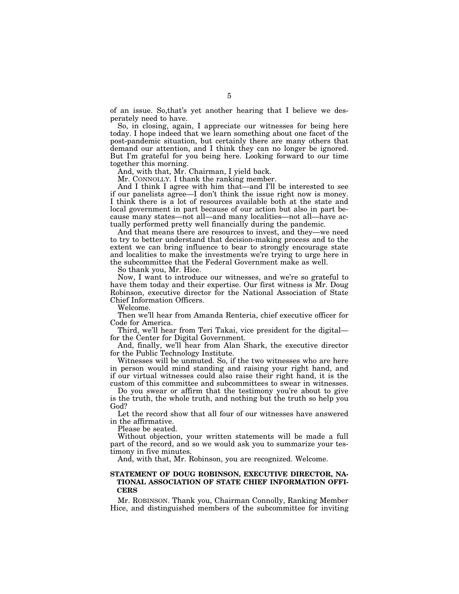of an issue. So,that's yet another hearing that I believe we desperately need to have.

So, in closing, again, I appreciate our witnesses for being here today. I hope indeed that we learn something about one facet of the post-pandemic situation, but certainly there are many others that demand our attention, and I think they can no longer be ignored. But I'm grateful for you being here. Looking forward to our time together this morning.

And, with that, Mr. Chairman, I yield back.

Mr. CONNOLLY. I thank the ranking member.

And I think I agree with him that—and I'll be interested to see if our panelists agree—I don't think the issue right now is money. I think there is a lot of resources available both at the state and local government in part because of our action but also in part because many states—not all—and many localities—not all—have actually performed pretty well financially during the pandemic.

And that means there are resources to invest, and they—we need to try to better understand that decision-making process and to the extent we can bring influence to bear to strongly encourage state and localities to make the investments we're trying to urge here in the subcommittee that the Federal Government make as well.

So thank you, Mr. Hice.

Now, I want to introduce our witnesses, and we're so grateful to have them today and their expertise. Our first witness is Mr. Doug Robinson, executive director for the National Association of State Chief Information Officers.

Welcome.

Then we'll hear from Amanda Renteria, chief executive officer for Code for America.

Third, we'll hear from Teri Takai, vice president for the digital for the Center for Digital Government.

And, finally, we'll hear from Alan Shark, the executive director for the Public Technology Institute.

Witnesses will be unmuted. So, if the two witnesses who are here in person would mind standing and raising your right hand, and if our virtual witnesses could also raise their right hand, it is the custom of this committee and subcommittees to swear in witnesses.

Do you swear or affirm that the testimony you're about to give is the truth, the whole truth, and nothing but the truth so help you God?

Let the record show that all four of our witnesses have answered in the affirmative.

Please be seated.

Without objection, your written statements will be made a full part of the record, and so we would ask you to summarize your testimony in five minutes.

And, with that, Mr. Robinson, you are recognized. Welcome.

## **STATEMENT OF DOUG ROBINSON, EXECUTIVE DIRECTOR, NA-TIONAL ASSOCIATION OF STATE CHIEF INFORMATION OFFI-CERS**

Mr. ROBINSON. Thank you, Chairman Connolly, Ranking Member Hice, and distinguished members of the subcommittee for inviting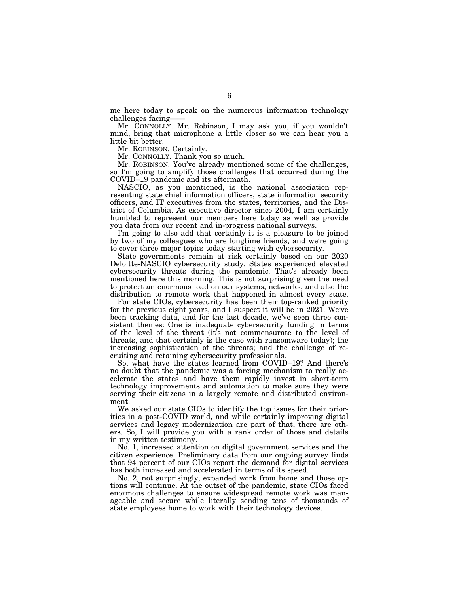me here today to speak on the numerous information technology challenges facing——

Mr. CONNOLLY. Mr. Robinson, I may ask you, if you wouldn't mind, bring that microphone a little closer so we can hear you a little bit better.

Mr. ROBINSON. Certainly.

Mr. CONNOLLY. Thank you so much.

Mr. ROBINSON. You've already mentioned some of the challenges, so I'm going to amplify those challenges that occurred during the COVID–19 pandemic and its aftermath.

NASCIO, as you mentioned, is the national association representing state chief information officers, state information security officers, and IT executives from the states, territories, and the District of Columbia. As executive director since 2004, I am certainly humbled to represent our members here today as well as provide you data from our recent and in-progress national surveys.

I'm going to also add that certainly it is a pleasure to be joined by two of my colleagues who are longtime friends, and we're going to cover three major topics today starting with cybersecurity.

State governments remain at risk certainly based on our 2020 Deloitte-NASCIO cybersecurity study. States experienced elevated cybersecurity threats during the pandemic. That's already been mentioned here this morning. This is not surprising given the need to protect an enormous load on our systems, networks, and also the distribution to remote work that happened in almost every state.

For state CIOs, cybersecurity has been their top-ranked priority for the previous eight years, and I suspect it will be in 2021. We've been tracking data, and for the last decade, we've seen three consistent themes: One is inadequate cybersecurity funding in terms of the level of the threat (it's not commensurate to the level of threats, and that certainly is the case with ransomware today); the increasing sophistication of the threats; and the challenge of recruiting and retaining cybersecurity professionals.

So, what have the states learned from COVID–19? And there's no doubt that the pandemic was a forcing mechanism to really accelerate the states and have them rapidly invest in short-term technology improvements and automation to make sure they were serving their citizens in a largely remote and distributed environment.

We asked our state CIOs to identify the top issues for their priorities in a post-COVID world, and while certainly improving digital services and legacy modernization are part of that, there are others. So, I will provide you with a rank order of those and details in my written testimony.

No. 1, increased attention on digital government services and the citizen experience. Preliminary data from our ongoing survey finds that 94 percent of our CIOs report the demand for digital services has both increased and accelerated in terms of its speed.

No. 2, not surprisingly, expanded work from home and those options will continue. At the outset of the pandemic, state CIOs faced enormous challenges to ensure widespread remote work was manageable and secure while literally sending tens of thousands of state employees home to work with their technology devices.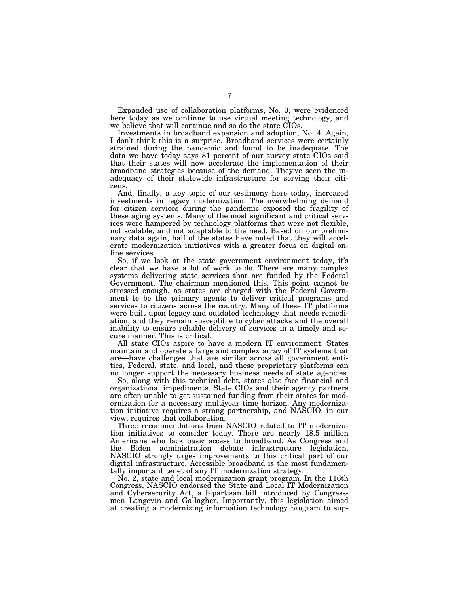Expanded use of collaboration platforms, No. 3, were evidenced here today as we continue to use virtual meeting technology, and we believe that will continue and so do the state CIOs.

Investments in broadband expansion and adoption, No. 4. Again, I don't think this is a surprise. Broadband services were certainly strained during the pandemic and found to be inadequate. The data we have today says 81 percent of our survey state CIOs said that their states will now accelerate the implementation of their broadband strategies because of the demand. They've seen the inadequacy of their statewide infrastructure for serving their citizens.

And, finally, a key topic of our testimony here today, increased investments in legacy modernization. The overwhelming demand for citizen services during the pandemic exposed the fragility of these aging systems. Many of the most significant and critical services were hampered by technology platforms that were not flexible, not scalable, and not adaptable to the need. Based on our preliminary data again, half of the states have noted that they will accelerate modernization initiatives with a greater focus on digital online services.

So, if we look at the state government environment today, it's clear that we have a lot of work to do. There are many complex systems delivering state services that are funded by the Federal Government. The chairman mentioned this. This point cannot be stressed enough, as states are charged with the Federal Government to be the primary agents to deliver critical programs and services to citizens across the country. Many of these IT platforms were built upon legacy and outdated technology that needs remediation, and they remain susceptible to cyber attacks and the overall inability to ensure reliable delivery of services in a timely and secure manner. This is critical.

All state CIOs aspire to have a modern IT environment. States maintain and operate a large and complex array of IT systems that are—have challenges that are similar across all government entities, Federal, state, and local, and these proprietary platforms can no longer support the necessary business needs of state agencies.

So, along with this technical debt, states also face financial and organizational impediments. State CIOs and their agency partners are often unable to get sustained funding from their states for modernization for a necessary multiyear time horizon. Any modernization initiative requires a strong partnership, and NASCIO, in our view, requires that collaboration.

Three recommendations from NASCIO related to IT modernization initiatives to consider today. There are nearly 18.5 million Americans who lack basic access to broadband. As Congress and the Biden administration debate infrastructure legislation, NASCIO strongly urges improvements to this critical part of our digital infrastructure. Accessible broadband is the most fundamentally important tenet of any IT modernization strategy.

No. 2, state and local modernization grant program. In the 116th Congress, NASCIO endorsed the State and Local IT Modernization and Cybersecurity Act, a bipartisan bill introduced by Congressmen Langevin and Gallagher. Importantly, this legislation aimed at creating a modernizing information technology program to sup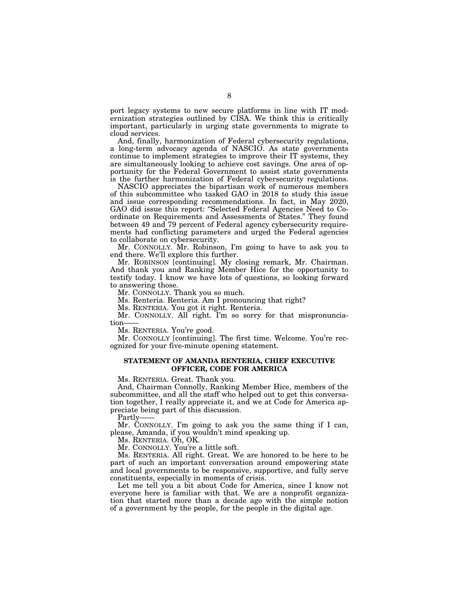port legacy systems to new secure platforms in line with IT modernization strategies outlined by CISA. We think this is critically important, particularly in urging state governments to migrate to cloud services.

And, finally, harmonization of Federal cybersecurity regulations, a long-term advocacy agenda of NASCIO. As state governments continue to implement strategies to improve their IT systems, they are simultaneously looking to achieve cost savings. One area of opportunity for the Federal Government to assist state governments is the further harmonization of Federal cybersecurity regulations.

NASCIO appreciates the bipartisan work of numerous members of this subcommittee who tasked GAO in 2018 to study this issue and issue corresponding recommendations. In fact, in May 2020, GAO did issue this report: ''Selected Federal Agencies Need to Coordinate on Requirements and Assessments of States.'' They found between 49 and 79 percent of Federal agency cybersecurity requirements had conflicting parameters and urged the Federal agencies to collaborate on cybersecurity.

Mr. CONNOLLY. Mr. Robinson, I'm going to have to ask you to end there. We'll explore this further.

Mr. ROBINSON [continuing]. My closing remark, Mr. Chairman. And thank you and Ranking Member Hice for the opportunity to testify today. I know we have lots of questions, so looking forward to answering those.

Mr. CONNOLLY. Thank you so much.

Ms. Renteria. Renteria. Am I pronouncing that right?

Ms. RENTERIA. You got it right. Renteria.

Mr. CONNOLLY. All right. I'm so sorry for that mispronunciation

Ms. RENTERIA. You're good.

Mr. CONNOLLY [continuing]. The first time. Welcome. You're recognized for your five-minute opening statement.

### **STATEMENT OF AMANDA RENTERIA, CHIEF EXECUTIVE OFFICER, CODE FOR AMERICA**

Ms. RENTERIA. Great. Thank you.

And, Chairman Connolly, Ranking Member Hice, members of the subcommittee, and all the staff who helped out to get this conversation together, I really appreciate it, and we at Code for America appreciate being part of this discussion.

Partly-

Mr. CONNOLLY. I'm going to ask you the same thing if I can, please, Amanda, if you wouldn't mind speaking up.

Ms. RENTERIA. Oh, OK.

Mr. CONNOLLY. You're a little soft.

Ms. RENTERIA. All right. Great. We are honored to be here to be part of such an important conversation around empowering state and local governments to be responsive, supportive, and fully serve constituents, especially in moments of crisis.

Let me tell you a bit about Code for America, since I know not everyone here is familiar with that. We are a nonprofit organization that started more than a decade ago with the simple notion of a government by the people, for the people in the digital age.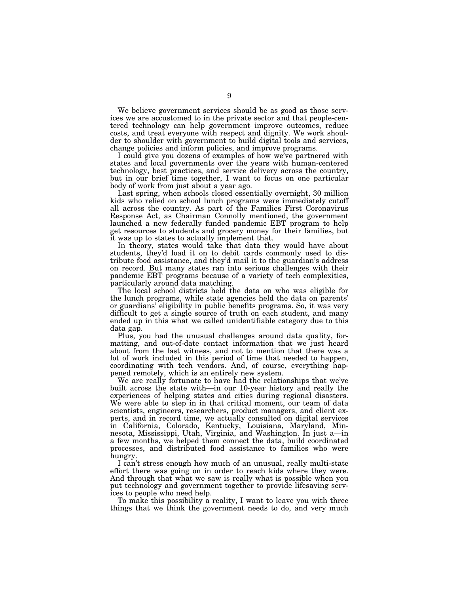We believe government services should be as good as those services we are accustomed to in the private sector and that people-centered technology can help government improve outcomes, reduce costs, and treat everyone with respect and dignity. We work shoulder to shoulder with government to build digital tools and services, change policies and inform policies, and improve programs.

I could give you dozens of examples of how we've partnered with states and local governments over the years with human-centered technology, best practices, and service delivery across the country, but in our brief time together, I want to focus on one particular body of work from just about a year ago.

Last spring, when schools closed essentially overnight, 30 million kids who relied on school lunch programs were immediately cutoff all across the country. As part of the Families First Coronavirus Response Act, as Chairman Connolly mentioned, the government launched a new federally funded pandemic EBT program to help get resources to students and grocery money for their families, but it was up to states to actually implement that.

In theory, states would take that data they would have about students, they'd load it on to debit cards commonly used to distribute food assistance, and they'd mail it to the guardian's address on record. But many states ran into serious challenges with their pandemic EBT programs because of a variety of tech complexities, particularly around data matching.

The local school districts held the data on who was eligible for the lunch programs, while state agencies held the data on parents' or guardians' eligibility in public benefits programs. So, it was very difficult to get a single source of truth on each student, and many ended up in this what we called unidentifiable category due to this data gap.

Plus, you had the unusual challenges around data quality, formatting, and out-of-date contact information that we just heard about from the last witness, and not to mention that there was a lot of work included in this period of time that needed to happen, coordinating with tech vendors. And, of course, everything happened remotely, which is an entirely new system.

We are really fortunate to have had the relationships that we've built across the state with—in our 10-year history and really the experiences of helping states and cities during regional disasters. We were able to step in in that critical moment, our team of data scientists, engineers, researchers, product managers, and client experts, and in record time, we actually consulted on digital services in California, Colorado, Kentucky, Louisiana, Maryland, Minnesota, Mississippi, Utah, Virginia, and Washington. In just a—in a few months, we helped them connect the data, build coordinated processes, and distributed food assistance to families who were hungry.

I can't stress enough how much of an unusual, really multi-state effort there was going on in order to reach kids where they were. And through that what we saw is really what is possible when you put technology and government together to provide lifesaving services to people who need help.

To make this possibility a reality, I want to leave you with three things that we think the government needs to do, and very much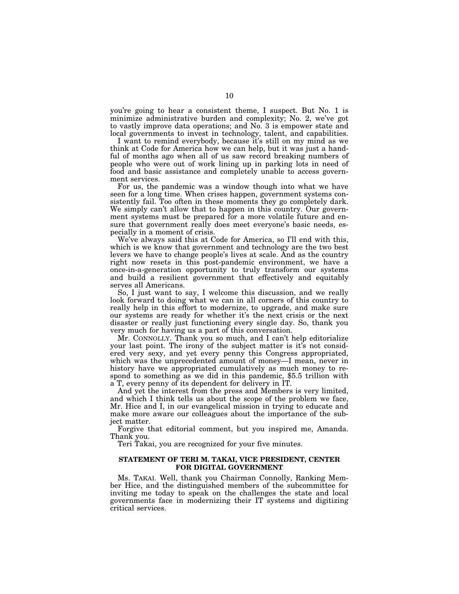you're going to hear a consistent theme, I suspect. But No. 1 is minimize administrative burden and complexity; No. 2, we've got to vastly improve data operations; and No. 3 is empower state and local governments to invest in technology, talent, and capabilities.

I want to remind everybody, because it's still on my mind as we think at Code for America how we can help, but it was just a handful of months ago when all of us saw record breaking numbers of people who were out of work lining up in parking lots in need of food and basic assistance and completely unable to access government services.

For us, the pandemic was a window though into what we have seen for a long time. When crises happen, government systems consistently fail. Too often in these moments they go completely dark. We simply can't allow that to happen in this country. Our government systems must be prepared for a more volatile future and ensure that government really does meet everyone's basic needs, especially in a moment of crisis.

We've always said this at Code for America, so I'll end with this, which is we know that government and technology are the two best levers we have to change people's lives at scale. And as the country right now resets in this post-pandemic environment, we have a once-in-a-generation opportunity to truly transform our systems and build a resilient government that effectively and equitably serves all Americans.

So, I just want to say, I welcome this discussion, and we really look forward to doing what we can in all corners of this country to really help in this effort to modernize, to upgrade, and make sure our systems are ready for whether it's the next crisis or the next disaster or really just functioning every single day. So, thank you very much for having us a part of this conversation.

Mr. CONNOLLY. Thank you so much, and I can't help editorialize your last point. The irony of the subject matter is it's not considered very sexy, and yet every penny this Congress appropriated, which was the unprecedented amount of money—I mean, never in history have we appropriated cumulatively as much money to respond to something as we did in this pandemic, \$5.5 trillion with a T, every penny of its dependent for delivery in IT.

And yet the interest from the press and Members is very limited, and which I think tells us about the scope of the problem we face, Mr. Hice and I, in our evangelical mission in trying to educate and make more aware our colleagues about the importance of the subject matter.

Forgive that editorial comment, but you inspired me, Amanda. Thank you.

Teri Takai, you are recognized for your five minutes.

### **STATEMENT OF TERI M. TAKAI, VICE PRESIDENT, CENTER FOR DIGITAL GOVERNMENT**

Ms. TAKAI. Well, thank you Chairman Connolly, Ranking Member Hice, and the distinguished members of the subcommittee for inviting me today to speak on the challenges the state and local governments face in modernizing their IT systems and digitizing critical services.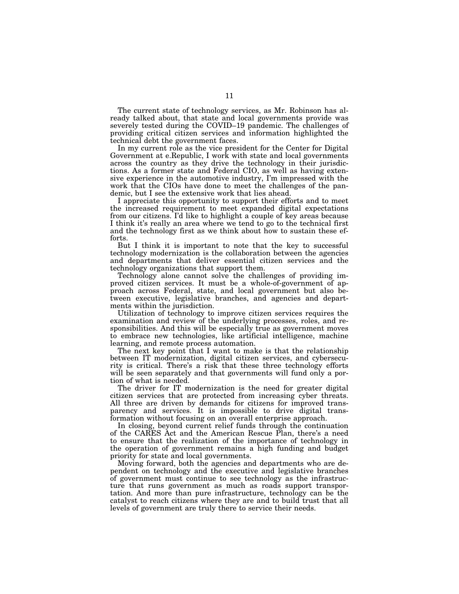The current state of technology services, as Mr. Robinson has already talked about, that state and local governments provide was severely tested during the COVID–19 pandemic. The challenges of providing critical citizen services and information highlighted the technical debt the government faces.

In my current role as the vice president for the Center for Digital Government at e.Republic, I work with state and local governments across the country as they drive the technology in their jurisdictions. As a former state and Federal CIO, as well as having extensive experience in the automotive industry, I'm impressed with the work that the CIOs have done to meet the challenges of the pandemic, but I see the extensive work that lies ahead.

I appreciate this opportunity to support their efforts and to meet the increased requirement to meet expanded digital expectations from our citizens. I'd like to highlight a couple of key areas because I think it's really an area where we tend to go to the technical first and the technology first as we think about how to sustain these efforts.

But I think it is important to note that the key to successful technology modernization is the collaboration between the agencies and departments that deliver essential citizen services and the technology organizations that support them.

Technology alone cannot solve the challenges of providing improved citizen services. It must be a whole-of-government of approach across Federal, state, and local government but also between executive, legislative branches, and agencies and departments within the jurisdiction.

Utilization of technology to improve citizen services requires the examination and review of the underlying processes, roles, and responsibilities. And this will be especially true as government moves to embrace new technologies, like artificial intelligence, machine learning, and remote process automation.

The next key point that I want to make is that the relationship between IT modernization, digital citizen services, and cybersecurity is critical. There's a risk that these three technology efforts will be seen separately and that governments will fund only a portion of what is needed.

The driver for IT modernization is the need for greater digital citizen services that are protected from increasing cyber threats. All three are driven by demands for citizens for improved transparency and services. It is impossible to drive digital transformation without focusing on an overall enterprise approach.

In closing, beyond current relief funds through the continuation of the CARES Act and the American Rescue Plan, there's a need to ensure that the realization of the importance of technology in the operation of government remains a high funding and budget priority for state and local governments.

Moving forward, both the agencies and departments who are dependent on technology and the executive and legislative branches of government must continue to see technology as the infrastructure that runs government as much as roads support transportation. And more than pure infrastructure, technology can be the catalyst to reach citizens where they are and to build trust that all levels of government are truly there to service their needs.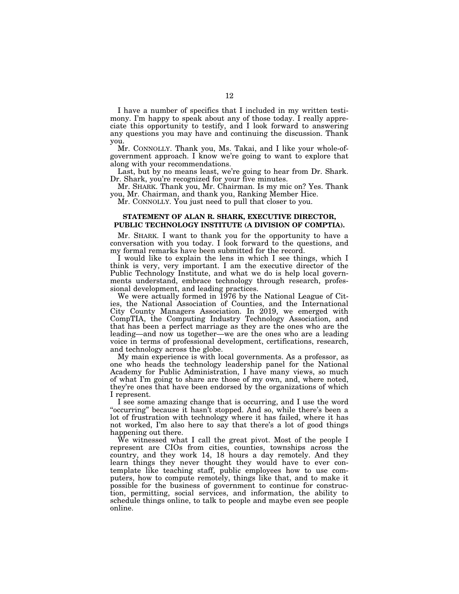I have a number of specifics that I included in my written testimony. I'm happy to speak about any of those today. I really appreciate this opportunity to testify, and I look forward to answering any questions you may have and continuing the discussion. Thank you.

Mr. CONNOLLY. Thank you, Ms. Takai, and I like your whole-ofgovernment approach. I know we're going to want to explore that along with your recommendations.

Last, but by no means least, we're going to hear from Dr. Shark. Dr. Shark, you're recognized for your five minutes.

Mr. SHARK. Thank you, Mr. Chairman. Is my mic on? Yes. Thank you, Mr. Chairman, and thank you, Ranking Member Hice.

Mr. CONNOLLY. You just need to pull that closer to you.

### **STATEMENT OF ALAN R. SHARK, EXECUTIVE DIRECTOR, PUBLIC TECHNOLOGY INSTITUTE (A DIVISION OF COMPTIA).**

Mr. SHARK. I want to thank you for the opportunity to have a conversation with you today. I look forward to the questions, and my formal remarks have been submitted for the record.

I would like to explain the lens in which I see things, which I think is very, very important. I am the executive director of the Public Technology Institute, and what we do is help local governments understand, embrace technology through research, professional development, and leading practices.

We were actually formed in 1976 by the National League of Cities, the National Association of Counties, and the International City County Managers Association. In 2019, we emerged with CompTIA, the Computing Industry Technology Association, and that has been a perfect marriage as they are the ones who are the leading—and now us together—we are the ones who are a leading voice in terms of professional development, certifications, research, and technology across the globe.

My main experience is with local governments. As a professor, as one who heads the technology leadership panel for the National Academy for Public Administration, I have many views, so much of what I'm going to share are those of my own, and, where noted, they're ones that have been endorsed by the organizations of which I represent.

I see some amazing change that is occurring, and I use the word "occurring" because it hasn't stopped. And so, while there's been a lot of frustration with technology where it has failed, where it has not worked, I'm also here to say that there's a lot of good things happening out there.

We witnessed what I call the great pivot. Most of the people I represent are CIOs from cities, counties, townships across the country, and they work 14, 18 hours a day remotely. And they learn things they never thought they would have to ever contemplate like teaching staff, public employees how to use computers, how to compute remotely, things like that, and to make it possible for the business of government to continue for construction, permitting, social services, and information, the ability to schedule things online, to talk to people and maybe even see people online.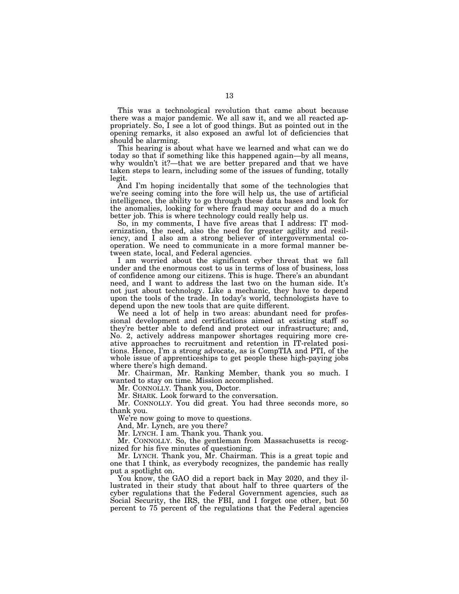This was a technological revolution that came about because there was a major pandemic. We all saw it, and we all reacted appropriately. So, I see a lot of good things. But as pointed out in the opening remarks, it also exposed an awful lot of deficiencies that should be alarming.

This hearing is about what have we learned and what can we do today so that if something like this happened again—by all means, why wouldn't it?—that we are better prepared and that we have taken steps to learn, including some of the issues of funding, totally legit.

And I'm hoping incidentally that some of the technologies that we're seeing coming into the fore will help us, the use of artificial intelligence, the ability to go through these data bases and look for the anomalies, looking for where fraud may occur and do a much better job. This is where technology could really help us.

So, in my comments, I have five areas that I address: IT modernization, the need, also the need for greater agility and resiliency, and I also am a strong believer of intergovernmental cooperation. We need to communicate in a more formal manner between state, local, and Federal agencies.

I am worried about the significant cyber threat that we fall under and the enormous cost to us in terms of loss of business, loss of confidence among our citizens. This is huge. There's an abundant need, and I want to address the last two on the human side. It's not just about technology. Like a mechanic, they have to depend upon the tools of the trade. In today's world, technologists have to depend upon the new tools that are quite different.

We need a lot of help in two areas: abundant need for professional development and certifications aimed at existing staff so they're better able to defend and protect our infrastructure; and, No. 2, actively address manpower shortages requiring more creative approaches to recruitment and retention in IT-related positions. Hence, I'm a strong advocate, as is CompTIA and PTI, of the whole issue of apprenticeships to get people these high-paying jobs where there's high demand.

Mr. Chairman, Mr. Ranking Member, thank you so much. I wanted to stay on time. Mission accomplished.

Mr. CONNOLLY. Thank you, Doctor.

Mr. SHARK. Look forward to the conversation.

Mr. CONNOLLY. You did great. You had three seconds more, so thank you.

We're now going to move to questions.

And, Mr. Lynch, are you there?

Mr. LYNCH. I am. Thank you. Thank you.

Mr. CONNOLLY. So, the gentleman from Massachusetts is recognized for his five minutes of questioning.

Mr. LYNCH. Thank you, Mr. Chairman. This is a great topic and one that I think, as everybody recognizes, the pandemic has really put a spotlight on.

You know, the GAO did a report back in May 2020, and they illustrated in their study that about half to three quarters of the cyber regulations that the Federal Government agencies, such as Social Security, the IRS, the FBI, and I forget one other, but 50 percent to 75 percent of the regulations that the Federal agencies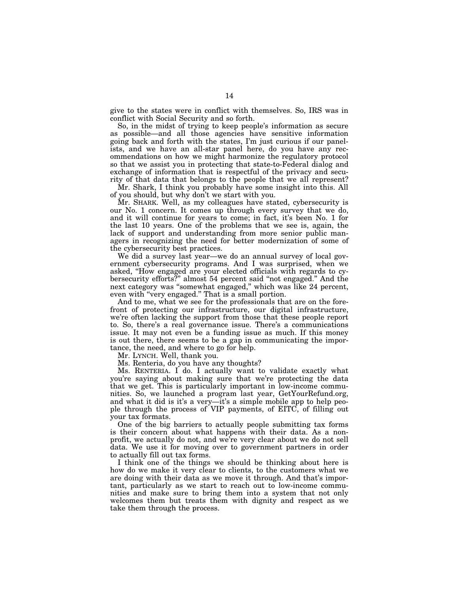give to the states were in conflict with themselves. So, IRS was in conflict with Social Security and so forth.

So, in the midst of trying to keep people's information as secure as possible—and all those agencies have sensitive information going back and forth with the states, I'm just curious if our panelists, and we have an all-star panel here, do you have any recommendations on how we might harmonize the regulatory protocol so that we assist you in protecting that state-to-Federal dialog and exchange of information that is respectful of the privacy and security of that data that belongs to the people that we all represent?

Mr. Shark, I think you probably have some insight into this. All of you should, but why don't we start with you.

Mr. SHARK. Well, as my colleagues have stated, cybersecurity is our No. 1 concern. It comes up through every survey that we do, and it will continue for years to come; in fact, it's been No. 1 for the last 10 years. One of the problems that we see is, again, the lack of support and understanding from more senior public managers in recognizing the need for better modernization of some of the cybersecurity best practices.

We did a survey last year—we do an annual survey of local government cybersecurity programs. And I was surprised, when we asked, ''How engaged are your elected officials with regards to cybersecurity efforts?'' almost 54 percent said ''not engaged.'' And the next category was ''somewhat engaged,'' which was like 24 percent, even with "very engaged." That is a small portion.

And to me, what we see for the professionals that are on the forefront of protecting our infrastructure, our digital infrastructure, we're often lacking the support from those that these people report to. So, there's a real governance issue. There's a communications issue. It may not even be a funding issue as much. If this money is out there, there seems to be a gap in communicating the importance, the need, and where to go for help.

Mr. LYNCH. Well, thank you.

Ms. Renteria, do you have any thoughts?

Ms. RENTERIA. I do. I actually want to validate exactly what you're saying about making sure that we're protecting the data that we get. This is particularly important in low-income communities. So, we launched a program last year, GetYourRefund.org, and what it did is it's a very—it's a simple mobile app to help people through the process of VIP payments, of EITC, of filling out your tax formats.

One of the big barriers to actually people submitting tax forms is their concern about what happens with their data. As a nonprofit, we actually do not, and we're very clear about we do not sell data. We use it for moving over to government partners in order to actually fill out tax forms.

I think one of the things we should be thinking about here is how do we make it very clear to clients, to the customers what we are doing with their data as we move it through. And that's important, particularly as we start to reach out to low-income communities and make sure to bring them into a system that not only welcomes them but treats them with dignity and respect as we take them through the process.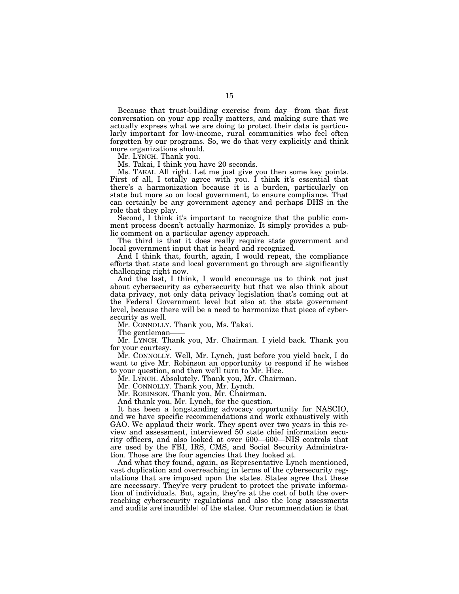Because that trust-building exercise from day—from that first conversation on your app really matters, and making sure that we actually express what we are doing to protect their data is particularly important for low-income, rural communities who feel often forgotten by our programs. So, we do that very explicitly and think more organizations should.

Mr. LYNCH. Thank you.

Ms. Takai, I think you have 20 seconds.

Ms. TAKAI. All right. Let me just give you then some key points. First of all, I totally agree with you. I think it's essential that there's a harmonization because it is a burden, particularly on state but more so on local government, to ensure compliance. That can certainly be any government agency and perhaps DHS in the role that they play.

Second, I think it's important to recognize that the public comment process doesn't actually harmonize. It simply provides a public comment on a particular agency approach.

The third is that it does really require state government and local government input that is heard and recognized.

And I think that, fourth, again, I would repeat, the compliance efforts that state and local government go through are significantly challenging right now.

And the last, I think, I would encourage us to think not just about cybersecurity as cybersecurity but that we also think about data privacy, not only data privacy legislation that's coming out at the Federal Government level but also at the state government level, because there will be a need to harmonize that piece of cybersecurity as well.

Mr. CONNOLLY. Thank you, Ms. Takai.

The gentleman-

Mr. LYNCH. Thank you, Mr. Chairman. I yield back. Thank you for your courtesy.

Mr. CONNOLLY. Well, Mr. Lynch, just before you yield back, I do want to give Mr. Robinson an opportunity to respond if he wishes to your question, and then we'll turn to Mr. Hice.

Mr. LYNCH. Absolutely. Thank you, Mr. Chairman.

Mr. CONNOLLY. Thank you, Mr. Lynch.

Mr. ROBINSON. Thank you, Mr. Chairman.

And thank you, Mr. Lynch, for the question.

It has been a longstanding advocacy opportunity for NASCIO, and we have specific recommendations and work exhaustively with GAO. We applaud their work. They spent over two years in this review and assessment, interviewed 50 state chief information security officers, and also looked at over 600—600—NIS controls that are used by the FBI, IRS, CMS, and Social Security Administration. Those are the four agencies that they looked at.

And what they found, again, as Representative Lynch mentioned, vast duplication and overreaching in terms of the cybersecurity regulations that are imposed upon the states. States agree that these are necessary. They're very prudent to protect the private information of individuals. But, again, they're at the cost of both the overreaching cybersecurity regulations and also the long assessments and audits are[inaudible] of the states. Our recommendation is that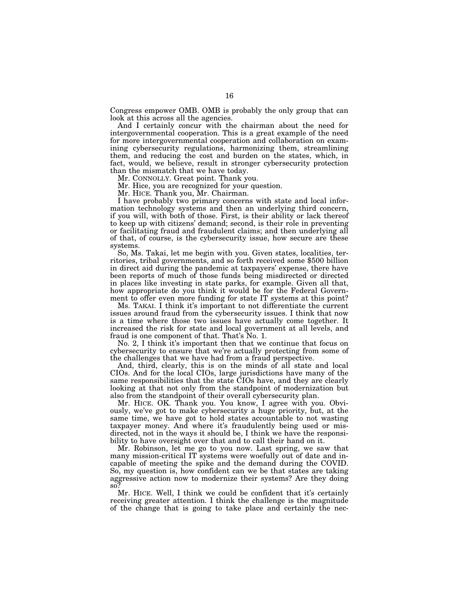Congress empower OMB. OMB is probably the only group that can look at this across all the agencies.

And I certainly concur with the chairman about the need for intergovernmental cooperation. This is a great example of the need for more intergovernmental cooperation and collaboration on examining cybersecurity regulations, harmonizing them, streamlining them, and reducing the cost and burden on the states, which, in fact, would, we believe, result in stronger cybersecurity protection than the mismatch that we have today.

Mr. CONNOLLY. Great point. Thank you.

Mr. Hice, you are recognized for your question.

Mr. HICE. Thank you, Mr. Chairman.

I have probably two primary concerns with state and local information technology systems and then an underlying third concern, if you will, with both of those. First, is their ability or lack thereof to keep up with citizens' demand; second, is their role in preventing or facilitating fraud and fraudulent claims; and then underlying all of that, of course, is the cybersecurity issue, how secure are these systems.

So, Ms. Takai, let me begin with you. Given states, localities, territories, tribal governments, and so forth received some \$500 billion in direct aid during the pandemic at taxpayers' expense, there have been reports of much of those funds being misdirected or directed in places like investing in state parks, for example. Given all that, how appropriate do you think it would be for the Federal Government to offer even more funding for state IT systems at this point?

Ms. TAKAI. I think it's important to not differentiate the current issues around fraud from the cybersecurity issues. I think that now is a time where those two issues have actually come together. It increased the risk for state and local government at all levels, and fraud is one component of that. That's No. 1.

No. 2, I think it's important then that we continue that focus on cybersecurity to ensure that we're actually protecting from some of the challenges that we have had from a fraud perspective.

And, third, clearly, this is on the minds of all state and local CIOs. And for the local CIOs, large jurisdictions have many of the same responsibilities that the state CIOs have, and they are clearly looking at that not only from the standpoint of modernization but also from the standpoint of their overall cybersecurity plan.

Mr. HICE. OK. Thank you. You know, I agree with you. Obviously, we've got to make cybersecurity a huge priority, but, at the same time, we have got to hold states accountable to not wasting taxpayer money. And where it's fraudulently being used or misdirected, not in the ways it should be, I think we have the responsibility to have oversight over that and to call their hand on it.

Mr. Robinson, let me go to you now. Last spring, we saw that many mission-critical IT systems were woefully out of date and incapable of meeting the spike and the demand during the COVID. So, my question is, how confident can we be that states are taking aggressive action now to modernize their systems? Are they doing so?

Mr. HICE. Well, I think we could be confident that it's certainly receiving greater attention. I think the challenge is the magnitude of the change that is going to take place and certainly the nec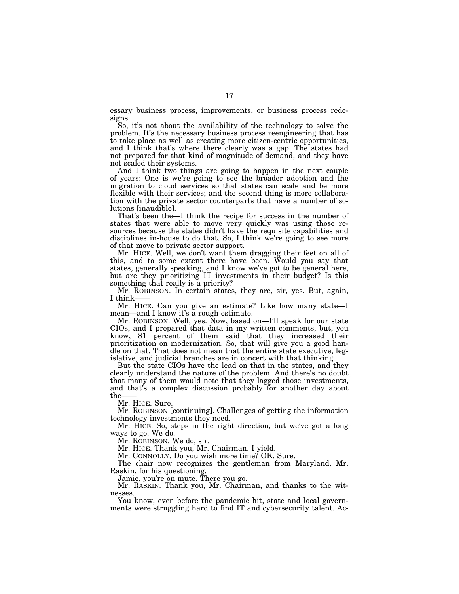essary business process, improvements, or business process redesigns.

So, it's not about the availability of the technology to solve the problem. It's the necessary business process reengineering that has to take place as well as creating more citizen-centric opportunities, and I think that's where there clearly was a gap. The states had not prepared for that kind of magnitude of demand, and they have not scaled their systems.

And I think two things are going to happen in the next couple of years: One is we're going to see the broader adoption and the migration to cloud services so that states can scale and be more flexible with their services; and the second thing is more collaboration with the private sector counterparts that have a number of solutions [inaudible].

That's been the—I think the recipe for success in the number of states that were able to move very quickly was using those resources because the states didn't have the requisite capabilities and disciplines in-house to do that. So, I think we're going to see more of that move to private sector support.

Mr. HICE. Well, we don't want them dragging their feet on all of this, and to some extent there have been. Would you say that states, generally speaking, and I know we've got to be general here, but are they prioritizing IT investments in their budget? Is this something that really is a priority?

Mr. ROBINSON. In certain states, they are, sir, yes. But, again, I think-

Mr. HICE. Can you give an estimate? Like how many state—I mean—and I know it's a rough estimate.

Mr. ROBINSON. Well, yes. Now, based on-I'll speak for our state CIOs, and I prepared that data in my written comments, but, you know, 81 percent of them said that they increased their prioritization on modernization. So, that will give you a good handle on that. That does not mean that the entire state executive, legislative, and judicial branches are in concert with that thinking.

But the state CIOs have the lead on that in the states, and they clearly understand the nature of the problem. And there's no doubt that many of them would note that they lagged those investments, and that's a complex discussion probably for another day about the-

Mr. HICE. Sure.

Mr. ROBINSON [continuing]. Challenges of getting the information technology investments they need.

Mr. HICE. So, steps in the right direction, but we've got a long ways to go. We do.

Mr. ROBINSON. We do, sir.

Mr. HICE. Thank you, Mr. Chairman. I yield.

Mr. CONNOLLY. Do you wish more time? OK. Sure.

The chair now recognizes the gentleman from Maryland, Mr. Raskin, for his questioning.

Jamie, you're on mute. There you go.

Mr. RASKIN. Thank you, Mr. Chairman, and thanks to the witnesses.

You know, even before the pandemic hit, state and local governments were struggling hard to find IT and cybersecurity talent. Ac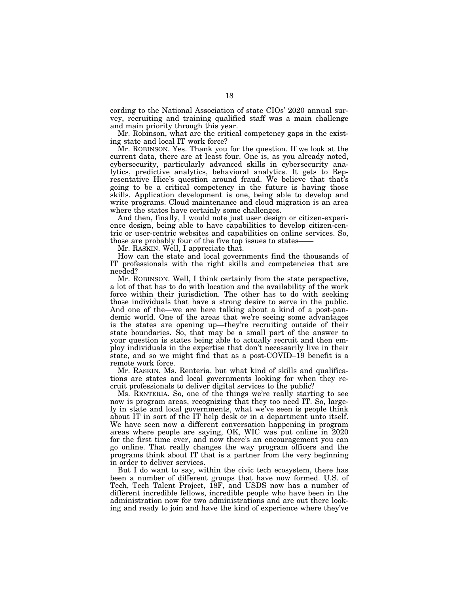cording to the National Association of state CIOs' 2020 annual survey, recruiting and training qualified staff was a main challenge and main priority through this year.

Mr. Robinson, what are the critical competency gaps in the existing state and local IT work force?

Mr. ROBINSON. Yes. Thank you for the question. If we look at the current data, there are at least four. One is, as you already noted, cybersecurity, particularly advanced skills in cybersecurity analytics, predictive analytics, behavioral analytics. It gets to Representative Hice's question around fraud. We believe that that's going to be a critical competency in the future is having those skills. Application development is one, being able to develop and write programs. Cloud maintenance and cloud migration is an area where the states have certainly some challenges.

And then, finally, I would note just user design or citizen-experience design, being able to have capabilities to develop citizen-centric or user-centric websites and capabilities on online services. So, those are probably four of the five top issues to states——

Mr. RASKIN. Well, I appreciate that.

How can the state and local governments find the thousands of IT professionals with the right skills and competencies that are needed?

Mr. ROBINSON. Well, I think certainly from the state perspective, a lot of that has to do with location and the availability of the work force within their jurisdiction. The other has to do with seeking those individuals that have a strong desire to serve in the public. And one of the—we are here talking about a kind of a post-pandemic world. One of the areas that we're seeing some advantages is the states are opening up—they're recruiting outside of their state boundaries. So, that may be a small part of the answer to your question is states being able to actually recruit and then employ individuals in the expertise that don't necessarily live in their state, and so we might find that as a post-COVID–19 benefit is a remote work force.

Mr. RASKIN. Ms. Renteria, but what kind of skills and qualifications are states and local governments looking for when they recruit professionals to deliver digital services to the public?

Ms. RENTERIA. So, one of the things we're really starting to see now is program areas, recognizing that they too need IT. So, largely in state and local governments, what we've seen is people think about IT in sort of the IT help desk or in a department unto itself. We have seen now a different conversation happening in program areas where people are saying, OK, WIC was put online in 2020 for the first time ever, and now there's an encouragement you can go online. That really changes the way program officers and the programs think about IT that is a partner from the very beginning in order to deliver services.

But I do want to say, within the civic tech ecosystem, there has been a number of different groups that have now formed. U.S. of Tech, Tech Talent Project, 18F, and USDS now has a number of different incredible fellows, incredible people who have been in the administration now for two administrations and are out there looking and ready to join and have the kind of experience where they've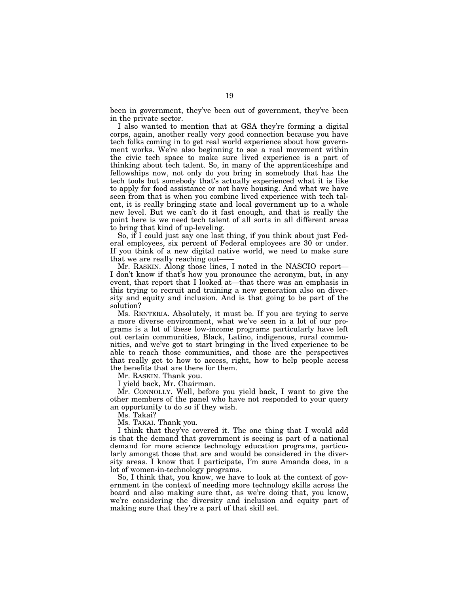been in government, they've been out of government, they've been in the private sector.

I also wanted to mention that at GSA they're forming a digital corps, again, another really very good connection because you have tech folks coming in to get real world experience about how government works. We're also beginning to see a real movement within the civic tech space to make sure lived experience is a part of thinking about tech talent. So, in many of the apprenticeships and fellowships now, not only do you bring in somebody that has the tech tools but somebody that's actually experienced what it is like to apply for food assistance or not have housing. And what we have seen from that is when you combine lived experience with tech talent, it is really bringing state and local government up to a whole new level. But we can't do it fast enough, and that is really the point here is we need tech talent of all sorts in all different areas to bring that kind of up-leveling.

So, if I could just say one last thing, if you think about just Federal employees, six percent of Federal employees are 30 or under. If you think of a new digital native world, we need to make sure that we are really reaching out-

Mr. RASKIN. Along those lines, I noted in the NASCIO report— I don't know if that's how you pronounce the acronym, but, in any event, that report that I looked at—that there was an emphasis in this trying to recruit and training a new generation also on diversity and equity and inclusion. And is that going to be part of the solution?

Ms. RENTERIA. Absolutely, it must be. If you are trying to serve a more diverse environment, what we've seen in a lot of our programs is a lot of these low-income programs particularly have left out certain communities, Black, Latino, indigenous, rural communities, and we've got to start bringing in the lived experience to be able to reach those communities, and those are the perspectives that really get to how to access, right, how to help people access the benefits that are there for them.

Mr. RASKIN. Thank you.

I yield back, Mr. Chairman.

Mr. CONNOLLY. Well, before you yield back, I want to give the other members of the panel who have not responded to your query an opportunity to do so if they wish.

Ms. Takai?

Ms. TAKAI. Thank you.

I think that they've covered it. The one thing that I would add is that the demand that government is seeing is part of a national demand for more science technology education programs, particularly amongst those that are and would be considered in the diversity areas. I know that I participate, I'm sure Amanda does, in a lot of women-in-technology programs.

So, I think that, you know, we have to look at the context of government in the context of needing more technology skills across the board and also making sure that, as we're doing that, you know, we're considering the diversity and inclusion and equity part of making sure that they're a part of that skill set.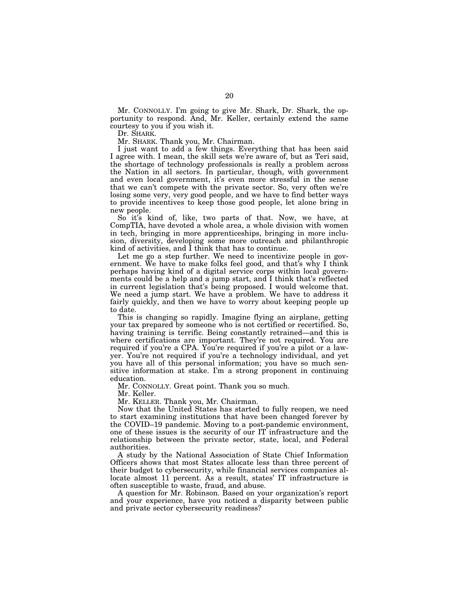Mr. CONNOLLY. I'm going to give Mr. Shark, Dr. Shark, the opportunity to respond. And, Mr. Keller, certainly extend the same courtesy to you if you wish it.

Dr. SHARK.

Mr. SHARK. Thank you, Mr. Chairman.

I just want to add a few things. Everything that has been said I agree with. I mean, the skill sets we're aware of, but as Teri said, the shortage of technology professionals is really a problem across the Nation in all sectors. In particular, though, with government and even local government, it's even more stressful in the sense that we can't compete with the private sector. So, very often we're losing some very, very good people, and we have to find better ways to provide incentives to keep those good people, let alone bring in new people.

So it's kind of, like, two parts of that. Now, we have, at CompTIA, have devoted a whole area, a whole division with women in tech, bringing in more apprenticeships, bringing in more inclusion, diversity, developing some more outreach and philanthropic kind of activities, and I think that has to continue.

Let me go a step further. We need to incentivize people in government. We have to make folks feel good, and that's why I think perhaps having kind of a digital service corps within local governments could be a help and a jump start, and I think that's reflected in current legislation that's being proposed. I would welcome that. We need a jump start. We have a problem. We have to address it fairly quickly, and then we have to worry about keeping people up to date.

This is changing so rapidly. Imagine flying an airplane, getting your tax prepared by someone who is not certified or recertified. So, having training is terrific. Being constantly retrained—and this is where certifications are important. They're not required. You are required if you're a CPA. You're required if you're a pilot or a lawyer. You're not required if you're a technology individual, and yet you have all of this personal information; you have so much sensitive information at stake. I'm a strong proponent in continuing education.

Mr. CONNOLLY. Great point. Thank you so much.

Mr. Keller.

Mr. KELLER. Thank you, Mr. Chairman.

Now that the United States has started to fully reopen, we need to start examining institutions that have been changed forever by the COVID–19 pandemic. Moving to a post-pandemic environment, one of these issues is the security of our IT infrastructure and the relationship between the private sector, state, local, and Federal authorities.

A study by the National Association of State Chief Information Officers shows that most States allocate less than three percent of their budget to cybersecurity, while financial services companies allocate almost 11 percent. As a result, states' IT infrastructure is often susceptible to waste, fraud, and abuse.

A question for Mr. Robinson. Based on your organization's report and your experience, have you noticed a disparity between public and private sector cybersecurity readiness?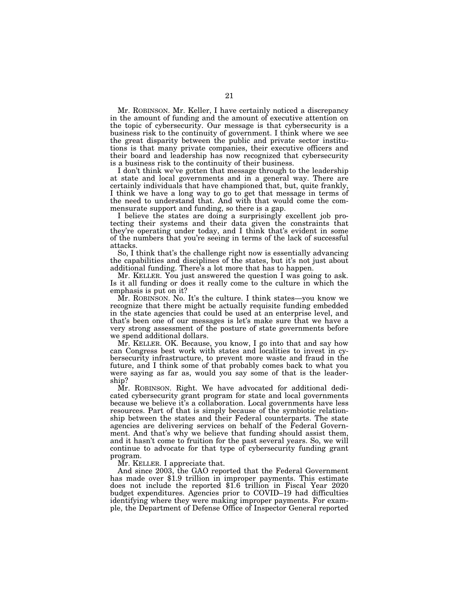Mr. ROBINSON. Mr. Keller, I have certainly noticed a discrepancy in the amount of funding and the amount of executive attention on the topic of cybersecurity. Our message is that cybersecurity is a business risk to the continuity of government. I think where we see the great disparity between the public and private sector institutions is that many private companies, their executive officers and their board and leadership has now recognized that cybersecurity is a business risk to the continuity of their business.

I don't think we've gotten that message through to the leadership at state and local governments and in a general way. There are certainly individuals that have championed that, but, quite frankly, I think we have a long way to go to get that message in terms of the need to understand that. And with that would come the commensurate support and funding, so there is a gap.

I believe the states are doing a surprisingly excellent job protecting their systems and their data given the constraints that they're operating under today, and I think that's evident in some of the numbers that you're seeing in terms of the lack of successful attacks.

So, I think that's the challenge right now is essentially advancing the capabilities and disciplines of the states, but it's not just about additional funding. There's a lot more that has to happen.

Mr. KELLER. You just answered the question I was going to ask. Is it all funding or does it really come to the culture in which the emphasis is put on it?

Mr. ROBINSON. No. It's the culture. I think states—you know we recognize that there might be actually requisite funding embedded in the state agencies that could be used at an enterprise level, and that's been one of our messages is let's make sure that we have a very strong assessment of the posture of state governments before we spend additional dollars.

Mr. KELLER. OK. Because, you know, I go into that and say how can Congress best work with states and localities to invest in cybersecurity infrastructure, to prevent more waste and fraud in the future, and I think some of that probably comes back to what you were saying as far as, would you say some of that is the leadership?

Mr. ROBINSON. Right. We have advocated for additional dedicated cybersecurity grant program for state and local governments because we believe it's a collaboration. Local governments have less resources. Part of that is simply because of the symbiotic relationship between the states and their Federal counterparts. The state agencies are delivering services on behalf of the Federal Government. And that's why we believe that funding should assist them, and it hasn't come to fruition for the past several years. So, we will continue to advocate for that type of cybersecurity funding grant program.

Mr. KELLER. I appreciate that.

And since 2003, the GAO reported that the Federal Government has made over \$1.9 trillion in improper payments. This estimate does not include the reported \$1.6 trillion in Fiscal Year 2020 budget expenditures. Agencies prior to COVID–19 had difficulties identifying where they were making improper payments. For example, the Department of Defense Office of Inspector General reported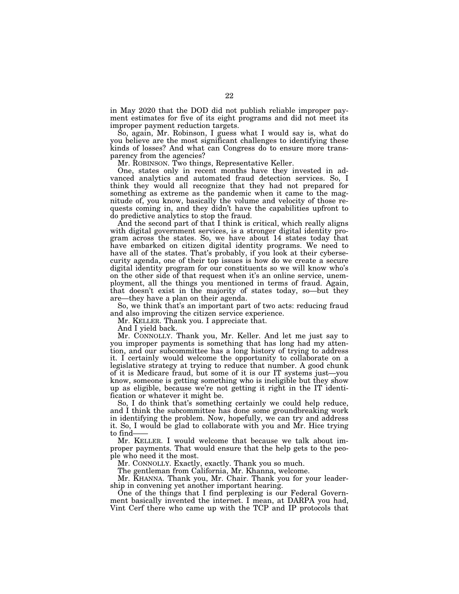in May 2020 that the DOD did not publish reliable improper payment estimates for five of its eight programs and did not meet its improper payment reduction targets.

So, again, Mr. Robinson, I guess what I would say is, what do you believe are the most significant challenges to identifying these kinds of losses? And what can Congress do to ensure more transparency from the agencies?

Mr. ROBINSON. Two things, Representative Keller.

One, states only in recent months have they invested in advanced analytics and automated fraud detection services. So, I think they would all recognize that they had not prepared for something as extreme as the pandemic when it came to the magnitude of, you know, basically the volume and velocity of those requests coming in, and they didn't have the capabilities upfront to do predictive analytics to stop the fraud.

And the second part of that I think is critical, which really aligns with digital government services, is a stronger digital identity program across the states. So, we have about 14 states today that have embarked on citizen digital identity programs. We need to have all of the states. That's probably, if you look at their cybersecurity agenda, one of their top issues is how do we create a secure digital identity program for our constituents so we will know who's on the other side of that request when it's an online service, unemployment, all the things you mentioned in terms of fraud. Again, that doesn't exist in the majority of states today, so—but they are—they have a plan on their agenda.

So, we think that's an important part of two acts: reducing fraud and also improving the citizen service experience.

Mr. KELLER. Thank you. I appreciate that.

And I yield back.

Mr. CONNOLLY. Thank you, Mr. Keller. And let me just say to you improper payments is something that has long had my attention, and our subcommittee has a long history of trying to address it. I certainly would welcome the opportunity to collaborate on a legislative strategy at trying to reduce that number. A good chunk of it is Medicare fraud, but some of it is our IT systems just—you know, someone is getting something who is ineligible but they show up as eligible, because we're not getting it right in the IT identification or whatever it might be.

So, I do think that's something certainly we could help reduce, and I think the subcommittee has done some groundbreaking work in identifying the problem. Now, hopefully, we can try and address it. So, I would be glad to collaborate with you and Mr. Hice trying to find-

Mr. KELLER. I would welcome that because we talk about improper payments. That would ensure that the help gets to the people who need it the most.

Mr. CONNOLLY. Exactly, exactly. Thank you so much.

The gentleman from California, Mr. Khanna, welcome.

Mr. KHANNA. Thank you, Mr. Chair. Thank you for your leadership in convening yet another important hearing.

One of the things that I find perplexing is our Federal Government basically invented the internet. I mean, at DARPA you had, Vint Cerf there who came up with the TCP and IP protocols that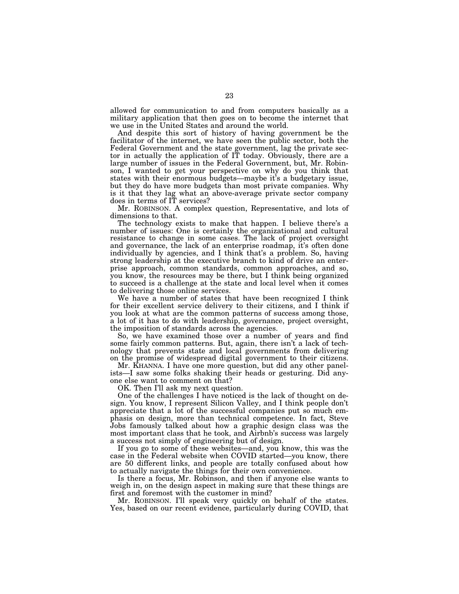allowed for communication to and from computers basically as a military application that then goes on to become the internet that we use in the United States and around the world.

And despite this sort of history of having government be the facilitator of the internet, we have seen the public sector, both the Federal Government and the state government, lag the private sector in actually the application of IT today. Obviously, there are a large number of issues in the Federal Government, but, Mr. Robinson, I wanted to get your perspective on why do you think that states with their enormous budgets—maybe it's a budgetary issue, but they do have more budgets than most private companies. Why is it that they lag what an above-average private sector company does in terms of IT services?

Mr. ROBINSON. A complex question, Representative, and lots of dimensions to that.

The technology exists to make that happen. I believe there's a number of issues: One is certainly the organizational and cultural resistance to change in some cases. The lack of project oversight and governance, the lack of an enterprise roadmap, it's often done individually by agencies, and I think that's a problem. So, having strong leadership at the executive branch to kind of drive an enterprise approach, common standards, common approaches, and so, you know, the resources may be there, but I think being organized to succeed is a challenge at the state and local level when it comes to delivering those online services.

We have a number of states that have been recognized I think for their excellent service delivery to their citizens, and I think if you look at what are the common patterns of success among those, a lot of it has to do with leadership, governance, project oversight, the imposition of standards across the agencies.

So, we have examined those over a number of years and find some fairly common patterns. But, again, there isn't a lack of technology that prevents state and local governments from delivering on the promise of widespread digital government to their citizens.

Mr. KHANNA. I have one more question, but did any other panelists—I saw some folks shaking their heads or gesturing. Did anyone else want to comment on that?

OK. Then I'll ask my next question.

One of the challenges I have noticed is the lack of thought on design. You know, I represent Silicon Valley, and I think people don't appreciate that a lot of the successful companies put so much emphasis on design, more than technical competence. In fact, Steve Jobs famously talked about how a graphic design class was the most important class that he took, and Airbnb's success was largely a success not simply of engineering but of design.

If you go to some of these websites—and, you know, this was the case in the Federal website when COVID started—you know, there are 50 different links, and people are totally confused about how to actually navigate the things for their own convenience.

Is there a focus, Mr. Robinson, and then if anyone else wants to weigh in, on the design aspect in making sure that these things are first and foremost with the customer in mind?

Mr. ROBINSON. I'll speak very quickly on behalf of the states. Yes, based on our recent evidence, particularly during COVID, that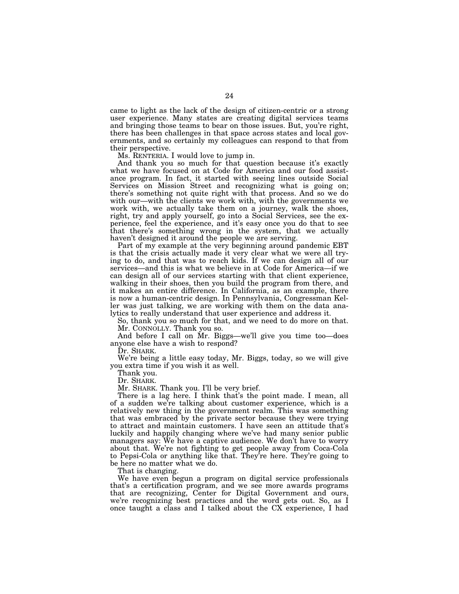came to light as the lack of the design of citizen-centric or a strong user experience. Many states are creating digital services teams and bringing those teams to bear on those issues. But, you're right, there has been challenges in that space across states and local governments, and so certainly my colleagues can respond to that from their perspective.

Ms. RENTERIA. I would love to jump in.

And thank you so much for that question because it's exactly what we have focused on at Code for America and our food assistance program. In fact, it started with seeing lines outside Social Services on Mission Street and recognizing what is going on; there's something not quite right with that process. And so we do with our—with the clients we work with, with the governments we work with, we actually take them on a journey, walk the shoes, right, try and apply yourself, go into a Social Services, see the experience, feel the experience, and it's easy once you do that to see that there's something wrong in the system, that we actually haven't designed it around the people we are serving.

Part of my example at the very beginning around pandemic EBT is that the crisis actually made it very clear what we were all trying to do, and that was to reach kids. If we can design all of our services—and this is what we believe in at Code for America—if we can design all of our services starting with that client experience, walking in their shoes, then you build the program from there, and it makes an entire difference. In California, as an example, there is now a human-centric design. In Pennsylvania, Congressman Keller was just talking, we are working with them on the data analytics to really understand that user experience and address it.

So, thank you so much for that, and we need to do more on that. Mr. CONNOLLY. Thank you so.

And before I call on Mr. Biggs—we'll give you time too—does anyone else have a wish to respond?

We're being a little easy today, Mr. Biggs, today, so we will give you extra time if you wish it as well.

Thank you.<br>Dr. Shark.

Mr. SHARK. Thank you. I'll be very brief.

There is a lag here. I think that's the point made. I mean, all of a sudden we're talking about customer experience, which is a relatively new thing in the government realm. This was something that was embraced by the private sector because they were trying to attract and maintain customers. I have seen an attitude that's luckily and happily changing where we've had many senior public managers say: We have a captive audience. We don't have to worry about that. We're not fighting to get people away from Coca-Cola to Pepsi-Cola or anything like that. They're here. They're going to be here no matter what we do.

That is changing.

We have even begun a program on digital service professionals that's a certification program, and we see more awards programs that are recognizing, Center for Digital Government and ours, we're recognizing best practices and the word gets out. So, as I once taught a class and I talked about the CX experience, I had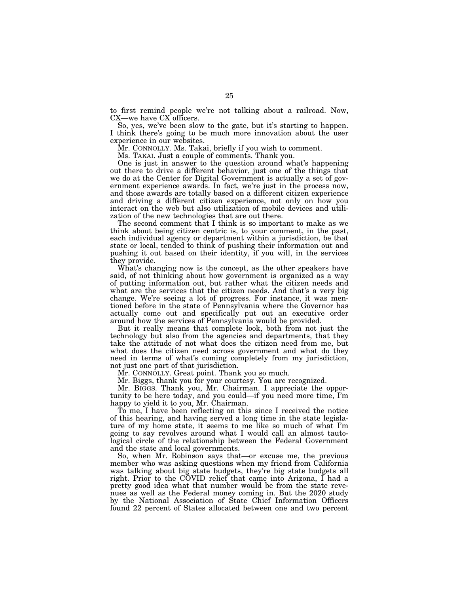to first remind people we're not talking about a railroad. Now, CX—we have CX officers.

So, yes, we've been slow to the gate, but it's starting to happen. I think there's going to be much more innovation about the user experience in our websites.

Mr. CONNOLLY. Ms. Takai, briefly if you wish to comment.

Ms. TAKAI. Just a couple of comments. Thank you.

One is just in answer to the question around what's happening out there to drive a different behavior, just one of the things that we do at the Center for Digital Government is actually a set of government experience awards. In fact, we're just in the process now, and those awards are totally based on a different citizen experience and driving a different citizen experience, not only on how you interact on the web but also utilization of mobile devices and utilization of the new technologies that are out there.

The second comment that I think is so important to make as we think about being citizen centric is, to your comment, in the past, each individual agency or department within a jurisdiction, be that state or local, tended to think of pushing their information out and pushing it out based on their identity, if you will, in the services they provide.

What's changing now is the concept, as the other speakers have said, of not thinking about how government is organized as a way of putting information out, but rather what the citizen needs and what are the services that the citizen needs. And that's a very big change. We're seeing a lot of progress. For instance, it was mentioned before in the state of Pennsylvania where the Governor has actually come out and specifically put out an executive order around how the services of Pennsylvania would be provided.

But it really means that complete look, both from not just the technology but also from the agencies and departments, that they take the attitude of not what does the citizen need from me, but what does the citizen need across government and what do they need in terms of what's coming completely from my jurisdiction, not just one part of that jurisdiction.

Mr. CONNOLLY. Great point. Thank you so much.

Mr. Biggs, thank you for your courtesy. You are recognized.

Mr. BIGGS. Thank you, Mr. Chairman. I appreciate the opportunity to be here today, and you could—if you need more time, I'm happy to yield it to you, Mr. Chairman.

To me, I have been reflecting on this since I received the notice of this hearing, and having served a long time in the state legislature of my home state, it seems to me like so much of what I'm going to say revolves around what I would call an almost tautological circle of the relationship between the Federal Government and the state and local governments.

So, when Mr. Robinson says that—or excuse me, the previous member who was asking questions when my friend from California was talking about big state budgets, they're big state budgets all right. Prior to the COVID relief that came into Arizona, I had a pretty good idea what that number would be from the state revenues as well as the Federal money coming in. But the 2020 study by the National Association of State Chief Information Officers found 22 percent of States allocated between one and two percent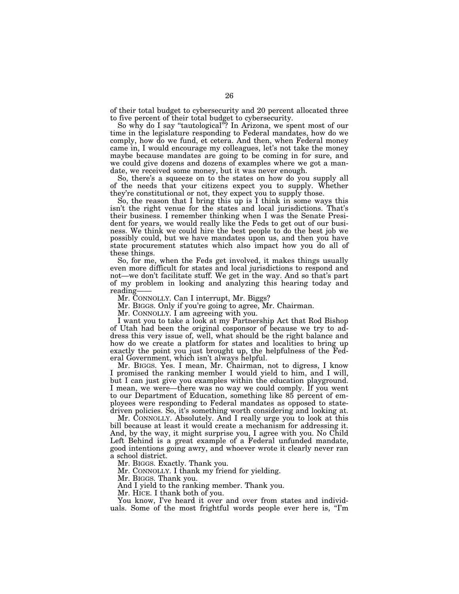of their total budget to cybersecurity and 20 percent allocated three to five percent of their total budget to cybersecurity.

So why do I say "tautological"? In Arizona, we spent most of our time in the legislature responding to Federal mandates, how do we comply, how do we fund, et cetera. And then, when Federal money came in, I would encourage my colleagues, let's not take the money maybe because mandates are going to be coming in for sure, and we could give dozens and dozens of examples where we got a mandate, we received some money, but it was never enough.

So, there's a squeeze on to the states on how do you supply all of the needs that your citizens expect you to supply. Whether they're constitutional or not, they expect you to supply those.

So, the reason that I bring this up is I think in some ways this isn't the right venue for the states and local jurisdictions. That's their business. I remember thinking when I was the Senate President for years, we would really like the Feds to get out of our business. We think we could hire the best people to do the best job we possibly could, but we have mandates upon us, and then you have state procurement statutes which also impact how you do all of these things.

So, for me, when the Feds get involved, it makes things usually even more difficult for states and local jurisdictions to respond and not—we don't facilitate stuff. We get in the way. And so that's part of my problem in looking and analyzing this hearing today and reading-

Mr. CONNOLLY. Can I interrupt, Mr. Biggs?

Mr. BIGGS. Only if you're going to agree, Mr. Chairman.

Mr. CONNOLLY. I am agreeing with you.

I want you to take a look at my Partnership Act that Rod Bishop of Utah had been the original cosponsor of because we try to address this very issue of, well, what should be the right balance and how do we create a platform for states and localities to bring up exactly the point you just brought up, the helpfulness of the Federal Government, which isn't always helpful.

Mr. BIGGS. Yes. I mean, Mr. Chairman, not to digress, I know I promised the ranking member I would yield to him, and I will, but I can just give you examples within the education playground. I mean, we were—there was no way we could comply. If you went to our Department of Education, something like 85 percent of employees were responding to Federal mandates as opposed to statedriven policies. So, it's something worth considering and looking at.

Mr. CONNOLLY. Absolutely. And I really urge you to look at this bill because at least it would create a mechanism for addressing it. And, by the way, it might surprise you, I agree with you. No Child Left Behind is a great example of a Federal unfunded mandate, good intentions going awry, and whoever wrote it clearly never ran a school district.

Mr. BIGGS. Exactly. Thank you.

Mr. CONNOLLY. I thank my friend for yielding.

Mr. BIGGS. Thank you.

And I yield to the ranking member. Thank you.

Mr. HICE. I thank both of you.

You know, I've heard it over and over from states and individuals. Some of the most frightful words people ever here is, "I'm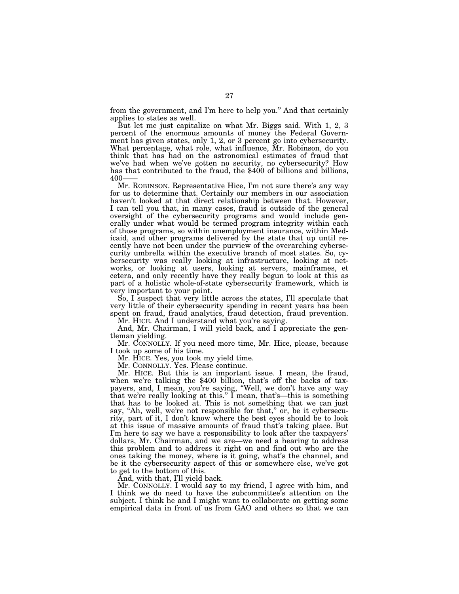from the government, and I'm here to help you.'' And that certainly applies to states as well.

But let me just capitalize on what Mr. Biggs said. With 1, 2, 3 percent of the enormous amounts of money the Federal Government has given states, only 1, 2, or 3 percent go into cybersecurity. What percentage, what role, what influence, Mr. Robinson, do you think that has had on the astronomical estimates of fraud that we've had when we've gotten no security, no cybersecurity? How has that contributed to the fraud, the \$400 of billions and billions, 400——

Mr. ROBINSON. Representative Hice, I'm not sure there's any way for us to determine that. Certainly our members in our association haven't looked at that direct relationship between that. However, I can tell you that, in many cases, fraud is outside of the general oversight of the cybersecurity programs and would include generally under what would be termed program integrity within each of those programs, so within unemployment insurance, within Medicaid, and other programs delivered by the state that up until recently have not been under the purview of the overarching cybersecurity umbrella within the executive branch of most states. So, cybersecurity was really looking at infrastructure, looking at networks, or looking at users, looking at servers, mainframes, et cetera, and only recently have they really begun to look at this as part of a holistic whole-of-state cybersecurity framework, which is very important to your point.

So, I suspect that very little across the states, I'll speculate that very little of their cybersecurity spending in recent years has been spent on fraud, fraud analytics, fraud detection, fraud prevention.

Mr. HICE. And I understand what you're saying.

And, Mr. Chairman, I will yield back, and I appreciate the gentleman yielding.

Mr. CONNOLLY. If you need more time, Mr. Hice, please, because I took up some of his time.

Mr. HICE. Yes, you took my yield time.

Mr. CONNOLLY. Yes. Please continue.

Mr. HICE. But this is an important issue. I mean, the fraud, when we're talking the \$400 billion, that's off the backs of taxpayers, and, I mean, you're saying, ''Well, we don't have any way that we're really looking at this.'' I mean, that's—this is something that has to be looked at. This is not something that we can just say, "Ah, well, we're not responsible for that," or, be it cybersecurity, part of it, I don't know where the best eyes should be to look at this issue of massive amounts of fraud that's taking place. But I'm here to say we have a responsibility to look after the taxpayers' dollars, Mr. Chairman, and we are—we need a hearing to address this problem and to address it right on and find out who are the ones taking the money, where is it going, what's the channel, and be it the cybersecurity aspect of this or somewhere else, we've got to get to the bottom of this.

And, with that, I'll yield back.

Mr. CONNOLLY. I would say to my friend, I agree with him, and I think we do need to have the subcommittee's attention on the subject. I think he and I might want to collaborate on getting some empirical data in front of us from GAO and others so that we can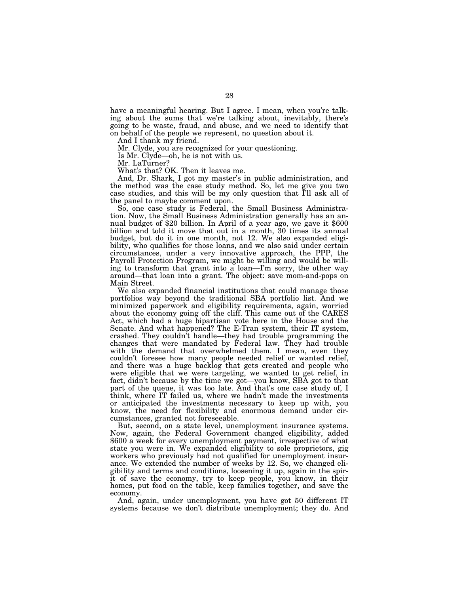have a meaningful hearing. But I agree. I mean, when you're talking about the sums that we're talking about, inevitably, there's going to be waste, fraud, and abuse, and we need to identify that on behalf of the people we represent, no question about it.

And I thank my friend.

Mr. Clyde, you are recognized for your questioning.

Is Mr. Clyde—oh, he is not with us.

Mr. LaTurner?

What's that? OK. Then it leaves me.

And, Dr. Shark, I got my master's in public administration, and the method was the case study method. So, let me give you two case studies, and this will be my only question that I'll ask all of the panel to maybe comment upon.

So, one case study is Federal, the Small Business Administration. Now, the Small Business Administration generally has an annual budget of \$20 billion. In April of a year ago, we gave it \$600 billion and told it move that out in a month, 30 times its annual budget, but do it in one month, not 12. We also expanded eligibility, who qualifies for those loans, and we also said under certain circumstances, under a very innovative approach, the PPP, the Payroll Protection Program, we might be willing and would be willing to transform that grant into a loan—I'm sorry, the other way around—that loan into a grant. The object: save mom-and-pops on Main Street.

We also expanded financial institutions that could manage those portfolios way beyond the traditional SBA portfolio list. And we minimized paperwork and eligibility requirements, again, worried about the economy going off the cliff. This came out of the CARES Act, which had a huge bipartisan vote here in the House and the Senate. And what happened? The E-Tran system, their IT system, crashed. They couldn't handle—they had trouble programming the changes that were mandated by Federal law. They had trouble with the demand that overwhelmed them. I mean, even they couldn't foresee how many people needed relief or wanted relief, and there was a huge backlog that gets created and people who were eligible that we were targeting, we wanted to get relief, in fact, didn't because by the time we got—you know, SBA got to that part of the queue, it was too late. And that's one case study of, I think, where IT failed us, where we hadn't made the investments or anticipated the investments necessary to keep up with, you know, the need for flexibility and enormous demand under circumstances, granted not foreseeable.

But, second, on a state level, unemployment insurance systems. Now, again, the Federal Government changed eligibility, added \$600 a week for every unemployment payment, irrespective of what state you were in. We expanded eligibility to sole proprietors, gig workers who previously had not qualified for unemployment insurance. We extended the number of weeks by 12. So, we changed eligibility and terms and conditions, loosening it up, again in the spirit of save the economy, try to keep people, you know, in their homes, put food on the table, keep families together, and save the economy.

And, again, under unemployment, you have got 50 different IT systems because we don't distribute unemployment; they do. And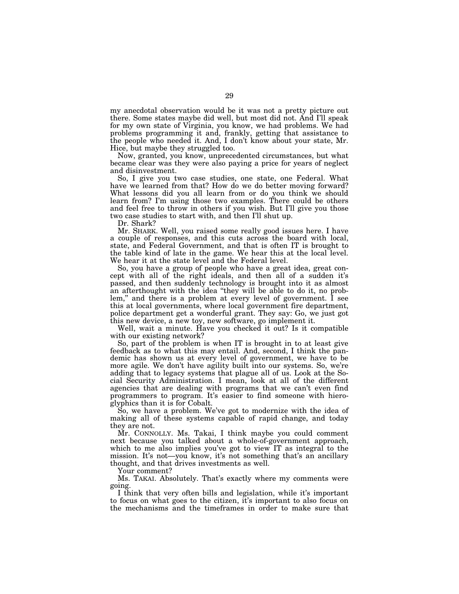my anecdotal observation would be it was not a pretty picture out there. Some states maybe did well, but most did not. And I'll speak for my own state of Virginia, you know, we had problems. We had problems programming it and, frankly, getting that assistance to the people who needed it. And, I don't know about your state, Mr. Hice, but maybe they struggled too.

Now, granted, you know, unprecedented circumstances, but what became clear was they were also paying a price for years of neglect and disinvestment.

So, I give you two case studies, one state, one Federal. What have we learned from that? How do we do better moving forward? What lessons did you all learn from or do you think we should learn from? I'm using those two examples. There could be others and feel free to throw in others if you wish. But I'll give you those two case studies to start with, and then I'll shut up.

Dr. Shark?

Mr. SHARK. Well, you raised some really good issues here. I have a couple of responses, and this cuts across the board with local, state, and Federal Government, and that is often IT is brought to the table kind of late in the game. We hear this at the local level. We hear it at the state level and the Federal level.

So, you have a group of people who have a great idea, great concept with all of the right ideals, and then all of a sudden it's passed, and then suddenly technology is brought into it as almost an afterthought with the idea ''they will be able to do it, no problem,'' and there is a problem at every level of government. I see this at local governments, where local government fire department, police department get a wonderful grant. They say: Go, we just got this new device, a new toy, new software, go implement it.

Well, wait a minute. Have you checked it out? Is it compatible with our existing network?

So, part of the problem is when IT is brought in to at least give feedback as to what this may entail. And, second, I think the pandemic has shown us at every level of government, we have to be more agile. We don't have agility built into our systems. So, we're adding that to legacy systems that plague all of us. Look at the Social Security Administration. I mean, look at all of the different agencies that are dealing with programs that we can't even find programmers to program. It's easier to find someone with hieroglyphics than it is for Cobalt.

So, we have a problem. We've got to modernize with the idea of making all of these systems capable of rapid change, and today they are not.

Mr. CONNOLLY. Ms. Takai, I think maybe you could comment next because you talked about a whole-of-government approach, which to me also implies you've got to view IT as integral to the mission. It's not—you know, it's not something that's an ancillary thought, and that drives investments as well.

Your comment?

Ms. TAKAI. Absolutely. That's exactly where my comments were going.

I think that very often bills and legislation, while it's important to focus on what goes to the citizen, it's important to also focus on the mechanisms and the timeframes in order to make sure that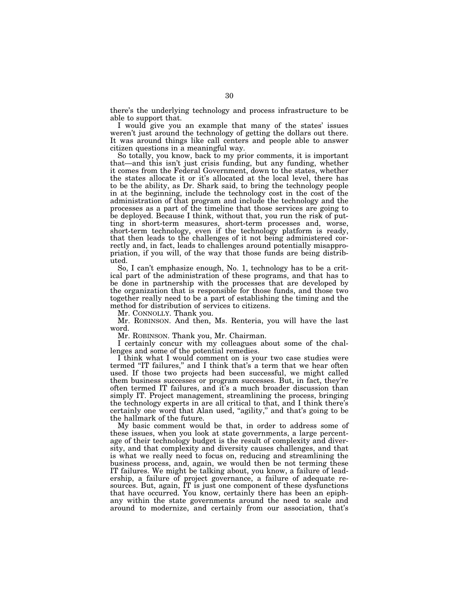there's the underlying technology and process infrastructure to be able to support that.

I would give you an example that many of the states' issues weren't just around the technology of getting the dollars out there. It was around things like call centers and people able to answer citizen questions in a meaningful way.

So totally, you know, back to my prior comments, it is important that—and this isn't just crisis funding, but any funding, whether it comes from the Federal Government, down to the states, whether the states allocate it or it's allocated at the local level, there has to be the ability, as Dr. Shark said, to bring the technology people in at the beginning, include the technology cost in the cost of the administration of that program and include the technology and the processes as a part of the timeline that those services are going to be deployed. Because I think, without that, you run the risk of putting in short-term measures, short-term processes and, worse, short-term technology, even if the technology platform is ready, that then leads to the challenges of it not being administered correctly and, in fact, leads to challenges around potentially misappropriation, if you will, of the way that those funds are being distributed.

So, I can't emphasize enough, No. 1, technology has to be a critical part of the administration of these programs, and that has to be done in partnership with the processes that are developed by the organization that is responsible for those funds, and those two together really need to be a part of establishing the timing and the method for distribution of services to citizens.

Mr. CONNOLLY. Thank you.

Mr. ROBINSON. And then, Ms. Renteria, you will have the last word.

Mr. ROBINSON. Thank you, Mr. Chairman.

I certainly concur with my colleagues about some of the challenges and some of the potential remedies.

I think what I would comment on is your two case studies were termed ''IT failures,'' and I think that's a term that we hear often used. If those two projects had been successful, we might called them business successes or program successes. But, in fact, they're often termed IT failures, and it's a much broader discussion than simply IT. Project management, streamlining the process, bringing the technology experts in are all critical to that, and I think there's certainly one word that Alan used, "agility," and that's going to be the hallmark of the future.

My basic comment would be that, in order to address some of these issues, when you look at state governments, a large percentage of their technology budget is the result of complexity and diversity, and that complexity and diversity causes challenges, and that is what we really need to focus on, reducing and streamlining the business process, and, again, we would then be not terming these IT failures. We might be talking about, you know, a failure of leadership, a failure of project governance, a failure of adequate resources. But, again, IT is just one component of these dysfunctions that have occurred. You know, certainly there has been an epiphany within the state governments around the need to scale and around to modernize, and certainly from our association, that's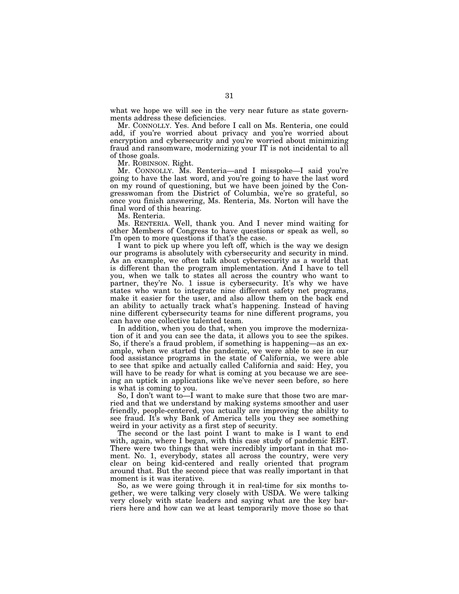what we hope we will see in the very near future as state governments address these deficiencies.

Mr. CONNOLLY. Yes. And before I call on Ms. Renteria, one could add, if you're worried about privacy and you're worried about encryption and cybersecurity and you're worried about minimizing fraud and ransomware, modernizing your IT is not incidental to all of those goals.

Mr. ROBINSON. Right.

Mr. CONNOLLY. Ms. Renteria—and I misspoke—I said you're going to have the last word, and you're going to have the last word on my round of questioning, but we have been joined by the Congresswoman from the District of Columbia, we're so grateful, so once you finish answering, Ms. Renteria, Ms. Norton will have the final word of this hearing.

Ms. Renteria.

Ms. RENTERIA. Well, thank you. And I never mind waiting for other Members of Congress to have questions or speak as well, so I'm open to more questions if that's the case.

I want to pick up where you left off, which is the way we design our programs is absolutely with cybersecurity and security in mind. As an example, we often talk about cybersecurity as a world that is different than the program implementation. And I have to tell you, when we talk to states all across the country who want to partner, they're No. 1 issue is cybersecurity. It's why we have states who want to integrate nine different safety net programs, make it easier for the user, and also allow them on the back end an ability to actually track what's happening. Instead of having nine different cybersecurity teams for nine different programs, you can have one collective talented team.

In addition, when you do that, when you improve the modernization of it and you can see the data, it allows you to see the spikes. So, if there's a fraud problem, if something is happening—as an example, when we started the pandemic, we were able to see in our food assistance programs in the state of California, we were able to see that spike and actually called California and said: Hey, you will have to be ready for what is coming at you because we are seeing an uptick in applications like we've never seen before, so here is what is coming to you.

So, I don't want to—I want to make sure that those two are married and that we understand by making systems smoother and user friendly, people-centered, you actually are improving the ability to see fraud. It's why Bank of America tells you they see something weird in your activity as a first step of security.

The second or the last point I want to make is I want to end with, again, where I began, with this case study of pandemic EBT. There were two things that were incredibly important in that moment. No. 1, everybody, states all across the country, were very clear on being kid-centered and really oriented that program around that. But the second piece that was really important in that moment is it was iterative.

So, as we were going through it in real-time for six months together, we were talking very closely with USDA. We were talking very closely with state leaders and saying what are the key barriers here and how can we at least temporarily move those so that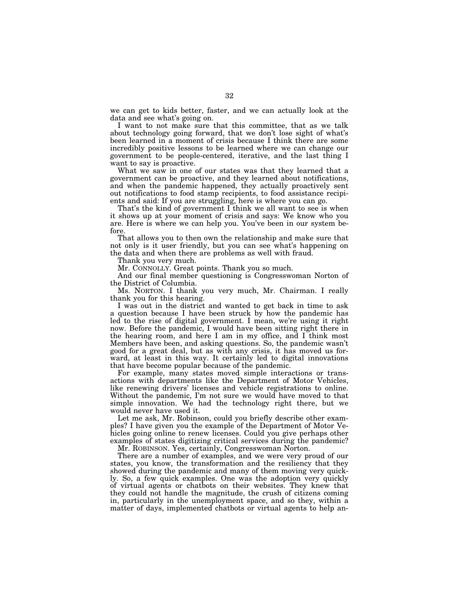we can get to kids better, faster, and we can actually look at the data and see what's going on.

I want to not make sure that this committee, that as we talk about technology going forward, that we don't lose sight of what's been learned in a moment of crisis because I think there are some incredibly positive lessons to be learned where we can change our government to be people-centered, iterative, and the last thing I want to say is proactive.

What we saw in one of our states was that they learned that a government can be proactive, and they learned about notifications, and when the pandemic happened, they actually proactively sent out notifications to food stamp recipients, to food assistance recipients and said: If you are struggling, here is where you can go.

That's the kind of government I think we all want to see is when it shows up at your moment of crisis and says: We know who you are. Here is where we can help you. You've been in our system before.

That allows you to then own the relationship and make sure that not only is it user friendly, but you can see what's happening on the data and when there are problems as well with fraud.

Thank you very much.

Mr. CONNOLLY. Great points. Thank you so much.

And our final member questioning is Congresswoman Norton of the District of Columbia.

Ms. NORTON. I thank you very much, Mr. Chairman. I really thank you for this hearing.

I was out in the district and wanted to get back in time to ask a question because I have been struck by how the pandemic has led to the rise of digital government. I mean, we're using it right now. Before the pandemic, I would have been sitting right there in the hearing room, and here I am in my office, and I think most Members have been, and asking questions. So, the pandemic wasn't good for a great deal, but as with any crisis, it has moved us forward, at least in this way. It certainly led to digital innovations that have become popular because of the pandemic.

For example, many states moved simple interactions or transactions with departments like the Department of Motor Vehicles, like renewing drivers' licenses and vehicle registrations to online. Without the pandemic, I'm not sure we would have moved to that simple innovation. We had the technology right there, but we would never have used it.

Let me ask, Mr. Robinson, could you briefly describe other examples? I have given you the example of the Department of Motor Vehicles going online to renew licenses. Could you give perhaps other examples of states digitizing critical services during the pandemic?

Mr. ROBINSON. Yes, certainly, Congresswoman Norton.

There are a number of examples, and we were very proud of our states, you know, the transformation and the resiliency that they showed during the pandemic and many of them moving very quickly. So, a few quick examples. One was the adoption very quickly of virtual agents or chatbots on their websites. They knew that they could not handle the magnitude, the crush of citizens coming in, particularly in the unemployment space, and so they, within a matter of days, implemented chatbots or virtual agents to help an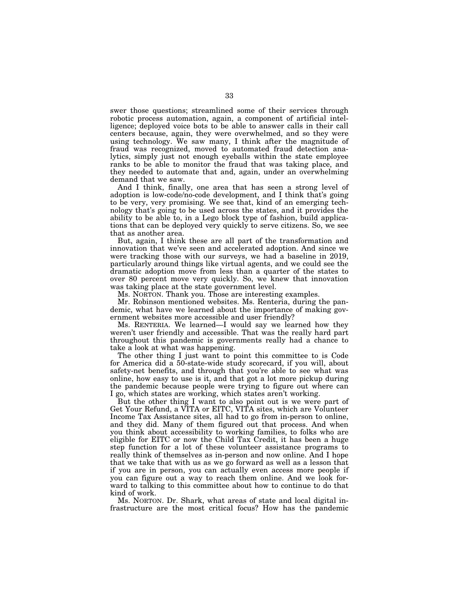swer those questions; streamlined some of their services through robotic process automation, again, a component of artificial intelligence; deployed voice bots to be able to answer calls in their call centers because, again, they were overwhelmed, and so they were using technology. We saw many, I think after the magnitude of fraud was recognized, moved to automated fraud detection analytics, simply just not enough eyeballs within the state employee ranks to be able to monitor the fraud that was taking place, and they needed to automate that and, again, under an overwhelming demand that we saw.

And I think, finally, one area that has seen a strong level of adoption is low-code/no-code development, and I think that's going to be very, very promising. We see that, kind of an emerging technology that's going to be used across the states, and it provides the ability to be able to, in a Lego block type of fashion, build applications that can be deployed very quickly to serve citizens. So, we see that as another area.

But, again, I think these are all part of the transformation and innovation that we've seen and accelerated adoption. And since we were tracking those with our surveys, we had a baseline in 2019, particularly around things like virtual agents, and we could see the dramatic adoption move from less than a quarter of the states to over 80 percent move very quickly. So, we knew that innovation was taking place at the state government level.

Ms. NORTON. Thank you. Those are interesting examples.

Mr. Robinson mentioned websites. Ms. Renteria, during the pandemic, what have we learned about the importance of making government websites more accessible and user friendly?

Ms. RENTERIA. We learned—I would say we learned how they weren't user friendly and accessible. That was the really hard part throughout this pandemic is governments really had a chance to take a look at what was happening.

The other thing I just want to point this committee to is Code for America did a 50-state-wide study scorecard, if you will, about safety-net benefits, and through that you're able to see what was online, how easy to use is it, and that got a lot more pickup during the pandemic because people were trying to figure out where can I go, which states are working, which states aren't working.

But the other thing I want to also point out is we were part of Get Your Refund, a VITA or EITC, VITA sites, which are Volunteer Income Tax Assistance sites, all had to go from in-person to online, and they did. Many of them figured out that process. And when you think about accessibility to working families, to folks who are eligible for EITC or now the Child Tax Credit, it has been a huge step function for a lot of these volunteer assistance programs to really think of themselves as in-person and now online. And I hope that we take that with us as we go forward as well as a lesson that if you are in person, you can actually even access more people if you can figure out a way to reach them online. And we look forward to talking to this committee about how to continue to do that kind of work.

Ms. NORTON. Dr. Shark, what areas of state and local digital infrastructure are the most critical focus? How has the pandemic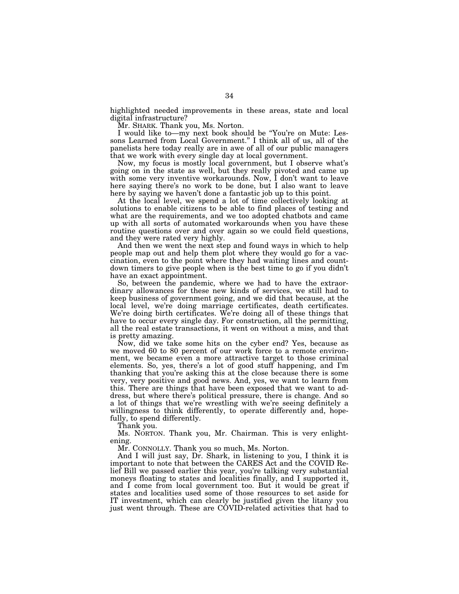highlighted needed improvements in these areas, state and local digital infrastructure?

Mr. SHARK. Thank you, Ms. Norton.

I would like to—my next book should be ''You're on Mute: Lessons Learned from Local Government.'' I think all of us, all of the panelists here today really are in awe of all of our public managers that we work with every single day at local government.

Now, my focus is mostly local government, but I observe what's going on in the state as well, but they really pivoted and came up with some very inventive workarounds. Now, I don't want to leave here saying there's no work to be done, but I also want to leave here by saying we haven't done a fantastic job up to this point.

At the local level, we spend a lot of time collectively looking at solutions to enable citizens to be able to find places of testing and what are the requirements, and we too adopted chatbots and came up with all sorts of automated workarounds when you have these routine questions over and over again so we could field questions, and they were rated very highly.

And then we went the next step and found ways in which to help people map out and help them plot where they would go for a vaccination, even to the point where they had waiting lines and countdown timers to give people when is the best time to go if you didn't have an exact appointment.

So, between the pandemic, where we had to have the extraordinary allowances for these new kinds of services, we still had to keep business of government going, and we did that because, at the local level, we're doing marriage certificates, death certificates. We're doing birth certificates. We're doing all of these things that have to occur every single day. For construction, all the permitting, all the real estate transactions, it went on without a miss, and that is pretty amazing.

Now, did we take some hits on the cyber end? Yes, because as we moved 60 to 80 percent of our work force to a remote environment, we became even a more attractive target to those criminal elements. So, yes, there's a lot of good stuff happening, and I'm thanking that you're asking this at the close because there is some very, very positive and good news. And, yes, we want to learn from this. There are things that have been exposed that we want to address, but where there's political pressure, there is change. And so a lot of things that we're wrestling with we're seeing definitely a willingness to think differently, to operate differently and, hopefully, to spend differently.

Thank you.

Ms. NORTON. Thank you, Mr. Chairman. This is very enlightening.

Mr. CONNOLLY. Thank you so much, Ms. Norton.

And I will just say, Dr. Shark, in listening to you, I think it is important to note that between the CARES Act and the COVID Relief Bill we passed earlier this year, you're talking very substantial moneys floating to states and localities finally, and I supported it, and I come from local government too. But it would be great if states and localities used some of those resources to set aside for IT investment, which can clearly be justified given the litany you just went through. These are COVID-related activities that had to